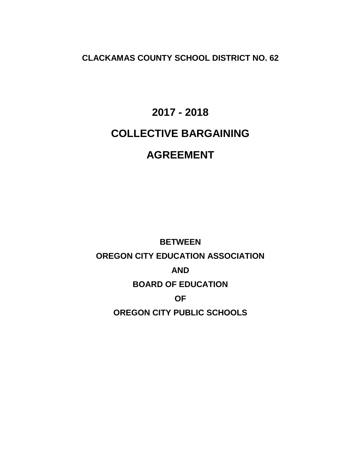**CLACKAMAS COUNTY SCHOOL DISTRICT NO. 62**

# **2017 - 2018 COLLECTIVE BARGAINING AGREEMENT**

**BETWEEN OREGON CITY EDUCATION ASSOCIATION AND BOARD OF EDUCATION OF OREGON CITY PUBLIC SCHOOLS**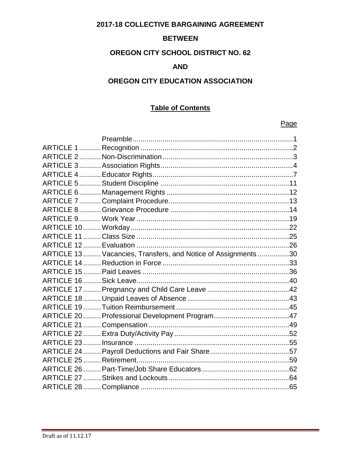# 2017-18 COLLECTIVE BARGAINING AGREEMENT

# **BETWEEN**

# **OREGON CITY SCHOOL DISTRICT NO. 62**

# **AND**

# OREGON CITY EDUCATION ASSOCIATION

# **Table of Contents**

# Page

| ARTICLE 13  Vacancies, Transfers, and Notice of Assignments 30 |  |
|----------------------------------------------------------------|--|
|                                                                |  |
|                                                                |  |
|                                                                |  |
|                                                                |  |
|                                                                |  |
|                                                                |  |
|                                                                |  |
|                                                                |  |
|                                                                |  |
|                                                                |  |
|                                                                |  |
|                                                                |  |
|                                                                |  |
|                                                                |  |
|                                                                |  |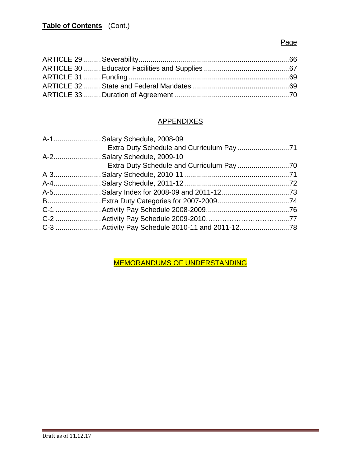# Page

# **APPENDIXES**

| A-1 Salary Schedule, 2008-09 |  |
|------------------------------|--|
|                              |  |
| A-2 Salary Schedule, 2009-10 |  |
|                              |  |
|                              |  |
|                              |  |
|                              |  |
|                              |  |
|                              |  |
|                              |  |
|                              |  |
|                              |  |

MEMORANDUMS OF UNDERSTANDING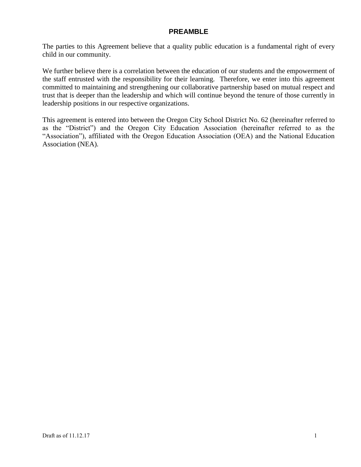# **PREAMBLE**

The parties to this Agreement believe that a quality public education is a fundamental right of every child in our community.

We further believe there is a correlation between the education of our students and the empowerment of the staff entrusted with the responsibility for their learning. Therefore, we enter into this agreement committed to maintaining and strengthening our collaborative partnership based on mutual respect and trust that is deeper than the leadership and which will continue beyond the tenure of those currently in leadership positions in our respective organizations.

This agreement is entered into between the Oregon City School District No. 62 (hereinafter referred to as the "District") and the Oregon City Education Association (hereinafter referred to as the "Association"), affiliated with the Oregon Education Association (OEA) and the National Education Association (NEA).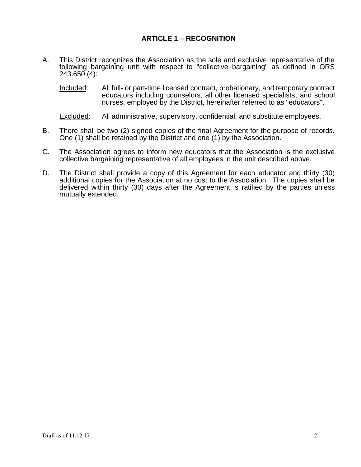# **ARTICLE 1 – RECOGNITION**

A. This District recognizes the Association as the sole and exclusive representative of the following bargaining unit with respect to "collective bargaining" as defined in ORS 243.650 (4):

Included: All full- or part-time licensed contract, probationary, and temporary contract educators including counselors, all other licensed specialists, and school nurses, employed by the District, hereinafter referred to as "educators".

Excluded: All administrative, supervisory, confidential, and substitute employees.

- B. There shall be two (2) signed copies of the final Agreement for the purpose of records. One (1) shall be retained by the District and one (1) by the Association.
- C. The Association agrees to inform new educators that the Association is the exclusive collective bargaining representative of all employees in the unit described above.
- D. The District shall provide a copy of this Agreement for each educator and thirty (30) additional copies for the Association at no cost to the Association. The copies shall be delivered within thirty (30) days after the Agreement is ratified by the parties unless mutually extended.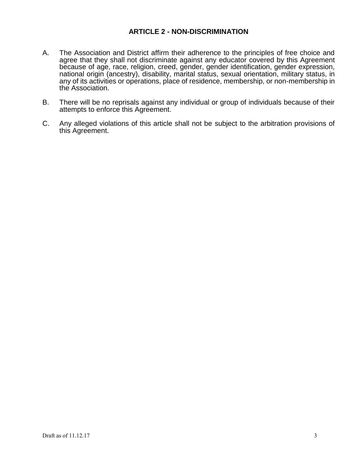# **ARTICLE 2 - NON-DISCRIMINATION**

- A. The Association and District affirm their adherence to the principles of free choice and agree that they shall not discriminate against any educator covered by this Agreement because of age, race, religion, creed, gender, gender identification, gender expression, national origin (ancestry), disability, marital status, sexual orientation, military status, in any of its activities or operations, place of residence, membership, or non-membership in the Association.
- B. There will be no reprisals against any individual or group of individuals because of their attempts to enforce this Agreement.
- C. Any alleged violations of this article shall not be subject to the arbitration provisions of this Agreement.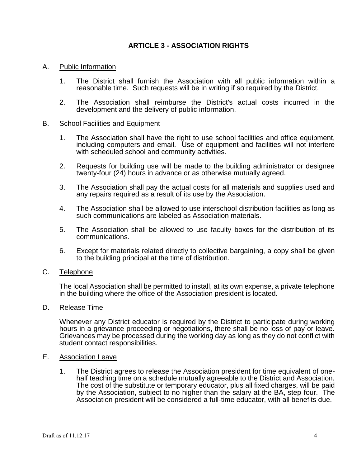# **ARTICLE 3 - ASSOCIATION RIGHTS**

### A. Public Information

- 1. The District shall furnish the Association with all public information within a reasonable time. Such requests will be in writing if so required by the District.
- 2. The Association shall reimburse the District's actual costs incurred in the development and the delivery of public information.

#### B. School Facilities and Equipment

- 1. The Association shall have the right to use school facilities and office equipment, including computers and email. Use of equipment and facilities will not interfere with scheduled school and community activities.
- 2. Requests for building use will be made to the building administrator or designee twenty-four (24) hours in advance or as otherwise mutually agreed.
- 3. The Association shall pay the actual costs for all materials and supplies used and any repairs required as a result of its use by the Association.
- 4. The Association shall be allowed to use interschool distribution facilities as long as such communications are labeled as Association materials.
- 5. The Association shall be allowed to use faculty boxes for the distribution of its communications.
- 6. Except for materials related directly to collective bargaining, a copy shall be given to the building principal at the time of distribution.

#### C. Telephone

The local Association shall be permitted to install, at its own expense, a private telephone in the building where the office of the Association president is located.

#### D. Release Time

Whenever any District educator is required by the District to participate during working hours in a grievance proceeding or negotiations, there shall be no loss of pay or leave. Grievances may be processed during the working day as long as they do not conflict with student contact responsibilities.

#### E. Association Leave

1. The District agrees to release the Association president for time equivalent of onehalf teaching time on a schedule mutually agreeable to the District and Association. The cost of the substitute or temporary educator, plus all fixed charges, will be paid by the Association, subject to no higher than the salary at the BA, step four. The Association president will be considered a full-time educator, with all benefits due.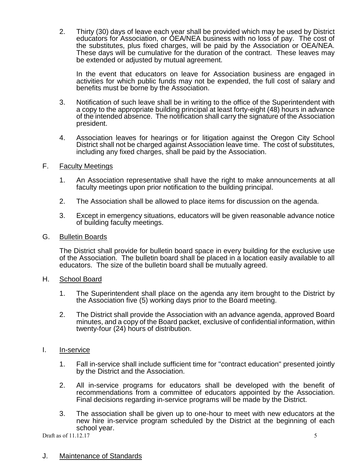2. Thirty (30) days of leave each year shall be provided which may be used by District educators for Association, or OEA/NEA business with no loss of pay. The cost of the substitutes, plus fixed charges, will be paid by the Association or OEA/NEA. These days will be cumulative for the duration of the contract. These leaves may be extended or adjusted by mutual agreement.

In the event that educators on leave for Association business are engaged in activities for which public funds may not be expended, the full cost of salary and benefits must be borne by the Association.

- 3. Notification of such leave shall be in writing to the office of the Superintendent with a copy to the appropriate building principal at least forty-eight (48) hours in advance of the intended absence. The notification shall carry the signature of the Association president.
- 4. Association leaves for hearings or for litigation against the Oregon City School District shall not be charged against Association leave time. The cost of substitutes, including any fixed charges, shall be paid by the Association.

## F. Faculty Meetings

- 1. An Association representative shall have the right to make announcements at all faculty meetings upon prior notification to the building principal.
- 2. The Association shall be allowed to place items for discussion on the agenda.
- 3. Except in emergency situations, educators will be given reasonable advance notice of building faculty meetings.
- G. Bulletin Boards

The District shall provide for bulletin board space in every building for the exclusive use of the Association. The bulletin board shall be placed in a location easily available to all educators. The size of the bulletin board shall be mutually agreed.

- H. School Board
	- 1. The Superintendent shall place on the agenda any item brought to the District by the Association five (5) working days prior to the Board meeting.
	- 2. The District shall provide the Association with an advance agenda, approved Board minutes, and a copy of the Board packet, exclusive of confidential information, within twenty-four (24) hours of distribution.
- I. In-service
	- 1. Fall in-service shall include sufficient time for "contract education" presented jointly by the District and the Association.
	- 2. All in-service programs for educators shall be developed with the benefit of recommendations from a committee of educators appointed by the Association. Final decisions regarding in-service programs will be made by the District.
	- 3. The association shall be given up to one-hour to meet with new educators at the new hire in-service program scheduled by the District at the beginning of each school year.

Draft as of  $11.12.17$  5

## J. Maintenance of Standards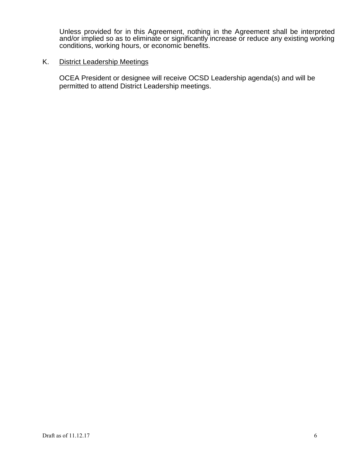Unless provided for in this Agreement, nothing in the Agreement shall be interpreted and/or implied so as to eliminate or significantly increase or reduce any existing working conditions, working hours, or economic benefits.

### K. District Leadership Meetings

OCEA President or designee will receive OCSD Leadership agenda(s) and will be permitted to attend District Leadership meetings.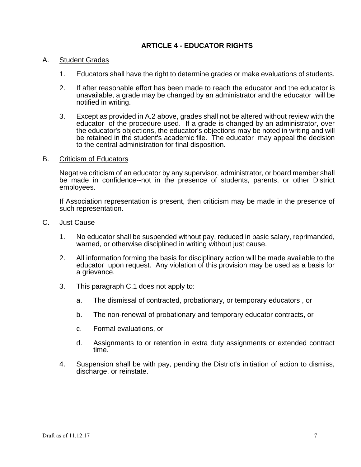# **ARTICLE 4 - EDUCATOR RIGHTS**

#### A. Student Grades

- 1. Educators shall have the right to determine grades or make evaluations of students.
- 2. If after reasonable effort has been made to reach the educator and the educator is unavailable, a grade may be changed by an administrator and the educator will be notified in writing.
- 3. Except as provided in A.2 above, grades shall not be altered without review with the educator of the procedure used. If a grade is changed by an administrator, over the educator's objections, the educator's objections may be noted in writing and will be retained in the student's academic file. The educator may appeal the decision to the central administration for final disposition.

#### B. Criticism of Educators

Negative criticism of an educator by any supervisor, administrator, or board member shall be made in confidence--not in the presence of students, parents, or other District employees.

If Association representation is present, then criticism may be made in the presence of such representation.

- C. Just Cause
	- 1. No educator shall be suspended without pay, reduced in basic salary, reprimanded, warned, or otherwise disciplined in writing without just cause.
	- 2. All information forming the basis for disciplinary action will be made available to the educator upon request. Any violation of this provision may be used as a basis for a grievance.
	- 3. This paragraph C.1 does not apply to:
		- a. The dismissal of contracted, probationary, or temporary educators , or
		- b. The non-renewal of probationary and temporary educator contracts, or
		- c. Formal evaluations, or
		- d. Assignments to or retention in extra duty assignments or extended contract time.
	- 4. Suspension shall be with pay, pending the District's initiation of action to dismiss, discharge, or reinstate.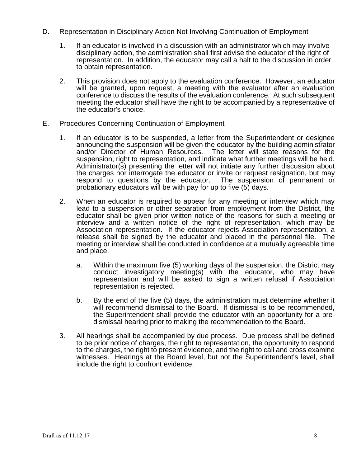# D. Representation in Disciplinary Action Not Involving Continuation of Employment

- 1. If an educator is involved in a discussion with an administrator which may involve disciplinary action, the administration shall first advise the educator of the right of representation. In addition, the educator may call a halt to the discussion in order to obtain representation.
- 2. This provision does not apply to the evaluation conference. However, an educator will be granted, upon request, a meeting with the evaluator after an evaluation conference to discuss the results of the evaluation conference. At such subsequent meeting the educator shall have the right to be accompanied by a representative of the educator's choice.

## E. Procedures Concerning Continuation of Employment

- 1. If an educator is to be suspended, a letter from the Superintendent or designee announcing the suspension will be given the educator by the building administrator and/or Director of Human Resources. The letter will state reasons for the suspension, right to representation, and indicate what further meetings will be held. Administrator(s) presenting the letter will not initiate any further discussion about the charges nor interrogate the educator or invite or request resignation, but may respond to questions by the educator. The suspension of permanent or probationary educators will be with pay for up to five (5) days.
- 2. When an educator is required to appear for any meeting or interview which may lead to a suspension or other separation from employment from the District, the educator shall be given prior written notice of the reasons for such a meeting or interview and a written notice of the right of representation, which may be Association representation. If the educator rejects Association representation, a release shall be signed by the educator and placed in the personnel file. The meeting or interview shall be conducted in confidence at a mutually agreeable time and place.
	- a. Within the maximum five (5) working days of the suspension, the District may conduct investigatory meeting(s) with the educator, who may have representation and will be asked to sign a written refusal if Association representation is rejected.
	- b. By the end of the five (5) days, the administration must determine whether it will recommend dismissal to the Board. If dismissal is to be recommended, the Superintendent shall provide the educator with an opportunity for a predismissal hearing prior to making the recommendation to the Board.
- 3. All hearings shall be accompanied by due process. Due process shall be defined to be prior notice of charges, the right to representation, the opportunity to respond to the charges, the right to present evidence, and the right to call and cross examine witnesses. Hearings at the Board level, but not the Superintendent's level, shall include the right to confront evidence.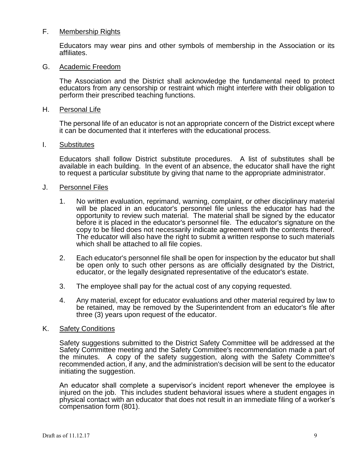### F. Membership Rights

Educators may wear pins and other symbols of membership in the Association or its affiliates.

#### G. Academic Freedom

The Association and the District shall acknowledge the fundamental need to protect educators from any censorship or restraint which might interfere with their obligation to perform their prescribed teaching functions.

#### H. Personal Life

The personal life of an educator is not an appropriate concern of the District except where it can be documented that it interferes with the educational process.

#### I. Substitutes

Educators shall follow District substitute procedures. A list of substitutes shall be available in each building. In the event of an absence, the educator shall have the right to request a particular substitute by giving that name to the appropriate administrator.

#### J. Personnel Files

- 1. No written evaluation, reprimand, warning, complaint, or other disciplinary material will be placed in an educator's personnel file unless the educator has had the opportunity to review such material. The material shall be signed by the educator before it is placed in the educator's personnel file. The educator's signature on the copy to be filed does not necessarily indicate agreement with the contents thereof. The educator will also have the right to submit a written response to such materials which shall be attached to all file copies.
- 2. Each educator's personnel file shall be open for inspection by the educator but shall be open only to such other persons as are officially designated by the District, educator, or the legally designated representative of the educator's estate.
- 3. The employee shall pay for the actual cost of any copying requested.
- 4. Any material, except for educator evaluations and other material required by law to be retained, may be removed by the Superintendent from an educator's file after three (3) years upon request of the educator.

### K. Safety Conditions

Safety suggestions submitted to the District Safety Committee will be addressed at the Safety Committee meeting and the Safety Committee's recommendation made a part of the minutes. A copy of the safety suggestion, along with the Safety Committee's recommended action, if any, and the administration's decision will be sent to the educator initiating the suggestion.

An educator shall complete a supervisor's incident report whenever the employee is injured on the job. This includes student behavioral issues where a student engages in physical contact with an educator that does not result in an immediate filing of a worker's compensation form (801).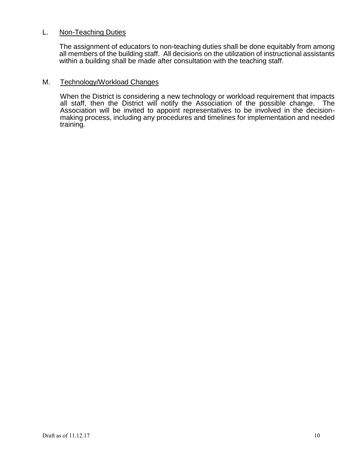## L. Non-Teaching Duties

The assignment of educators to non-teaching duties shall be done equitably from among all members of the building staff. All decisions on the utilization of instructional assistants within a building shall be made after consultation with the teaching staff.

#### M. Technology/Workload Changes

When the District is considering a new technology or workload requirement that impacts all staff, then the District will notify the Association of the possible change. The Association will be invited to appoint representatives to be involved in the decisionmaking process, including any procedures and timelines for implementation and needed training.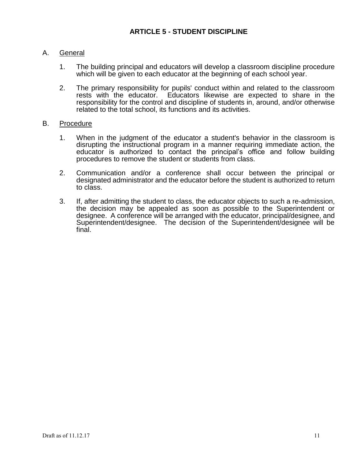# A. General

- 1. The building principal and educators will develop a classroom discipline procedure which will be given to each educator at the beginning of each school year.
- 2. The primary responsibility for pupils' conduct within and related to the classroom rests with the educator. Educators likewise are expected to share in the responsibility for the control and discipline of students in, around, and/or otherwise related to the total school, its functions and its activities.

# B. Procedure

- 1. When in the judgment of the educator a student's behavior in the classroom is disrupting the instructional program in a manner requiring immediate action, the educator is authorized to contact the principal's office and follow building procedures to remove the student or students from class.
- 2. Communication and/or a conference shall occur between the principal or designated administrator and the educator before the student is authorized to return to class.
- 3. If, after admitting the student to class, the educator objects to such a re-admission, the decision may be appealed as soon as possible to the Superintendent or designee. A conference will be arranged with the educator, principal/designee, and Superintendent/designee. The decision of the Superintendent/designee will be final.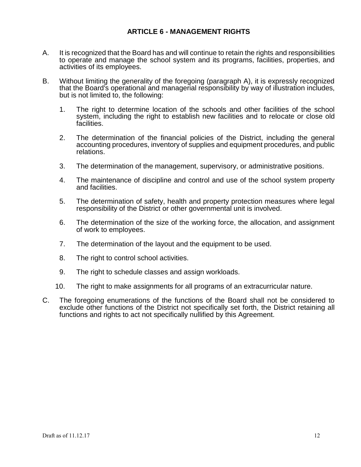# **ARTICLE 6 - MANAGEMENT RIGHTS**

- A. It is recognized that the Board has and will continue to retain the rights and responsibilities to operate and manage the school system and its programs, facilities, properties, and activities of its employees.
- B. Without limiting the generality of the foregoing (paragraph A), it is expressly recognized that the Board's operational and managerial responsibility by way of illustration includes, but is not limited to, the following:
	- 1. The right to determine location of the schools and other facilities of the school system, including the right to establish new facilities and to relocate or close old facilities.
	- 2. The determination of the financial policies of the District, including the general accounting procedures, inventory of supplies and equipment procedures, and public relations.
	- 3. The determination of the management, supervisory, or administrative positions.
	- 4. The maintenance of discipline and control and use of the school system property and facilities.
	- 5. The determination of safety, health and property protection measures where legal responsibility of the District or other governmental unit is involved.
	- 6. The determination of the size of the working force, the allocation, and assignment of work to employees.
	- 7. The determination of the layout and the equipment to be used.
	- 8. The right to control school activities.
	- 9. The right to schedule classes and assign workloads.
	- 10. The right to make assignments for all programs of an extracurricular nature.
- C. The foregoing enumerations of the functions of the Board shall not be considered to exclude other functions of the District not specifically set forth, the District retaining all functions and rights to act not specifically nullified by this Agreement.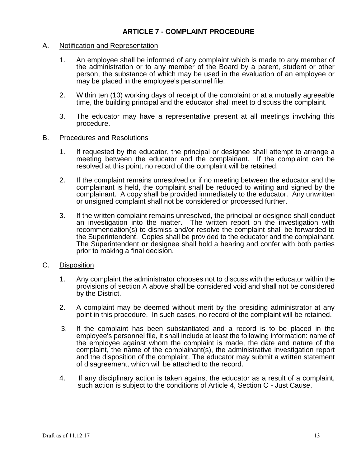# **ARTICLE 7 - COMPLAINT PROCEDURE**

## A. Notification and Representation

- 1. An employee shall be informed of any complaint which is made to any member of the administration or to any member of the Board by a parent, student or other person, the substance of which may be used in the evaluation of an employee or may be placed in the employee's personnel file.
- 2. Within ten (10) working days of receipt of the complaint or at a mutually agreeable time, the building principal and the educator shall meet to discuss the complaint.
- 3. The educator may have a representative present at all meetings involving this procedure.

#### B. Procedures and Resolutions

- 1. If requested by the educator, the principal or designee shall attempt to arrange a meeting between the educator and the complainant. If the complaint can be resolved at this point, no record of the complaint will be retained.
- 2. If the complaint remains unresolved or if no meeting between the educator and the complainant is held, the complaint shall be reduced to writing and signed by the complainant. A copy shall be provided immediately to the educator. Any unwritten or unsigned complaint shall not be considered or processed further.
- 3. If the written complaint remains unresolved, the principal or designee shall conduct an investigation into the matter. The written report on the investigation with recommendation(s) to dismiss and/or resolve the complaint shall be forwarded to the Superintendent. Copies shall be provided to the educator and the complainant. The Superintendent **or** designee shall hold a hearing and confer with both parties prior to making a final decision.

#### C. Disposition

- 1. Any complaint the administrator chooses not to discuss with the educator within the provisions of section A above shall be considered void and shall not be considered by the District.
- 2. A complaint may be deemed without merit by the presiding administrator at any point in this procedure. In such cases, no record of the complaint will be retained.
- 3. If the complaint has been substantiated and a record is to be placed in the employee's personnel file, it shall include at least the following information: name of the employee against whom the complaint is made, the date and nature of the complaint, the name of the complainant(s), the administrative investigation report and the disposition of the complaint. The educator may submit a written statement of disagreement, which will be attached to the record.
- 4. If any disciplinary action is taken against the educator as a result of a complaint, such action is subject to the conditions of Article 4, Section C - Just Cause.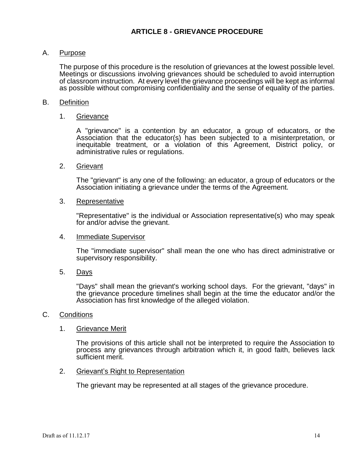# A. Purpose

The purpose of this procedure is the resolution of grievances at the lowest possible level. Meetings or discussions involving grievances should be scheduled to avoid interruption of classroom instruction. At every level the grievance proceedings will be kept as informal as possible without compromising confidentiality and the sense of equality of the parties.

## B. Definition

## 1. Grievance

A "grievance" is a contention by an educator, a group of educators, or the Association that the educator(s) has been subjected to a misinterpretation, or inequitable treatment, or a violation of this Agreement, District policy, or administrative rules or regulations.

#### 2. Grievant

The "grievant" is any one of the following: an educator, a group of educators or the Association initiating a grievance under the terms of the Agreement.

#### 3. Representative

"Representative" is the individual or Association representative(s) who may speak for and/or advise the grievant.

#### 4. Immediate Supervisor

The "immediate supervisor" shall mean the one who has direct administrative or supervisory responsibility.

5. Days

"Days" shall mean the grievant's working school days. For the grievant, "days" in the grievance procedure timelines shall begin at the time the educator and/or the Association has first knowledge of the alleged violation.

#### C. Conditions

## 1. Grievance Merit

The provisions of this article shall not be interpreted to require the Association to process any grievances through arbitration which it, in good faith, believes lack sufficient merit.

#### 2. Grievant's Right to Representation

The grievant may be represented at all stages of the grievance procedure.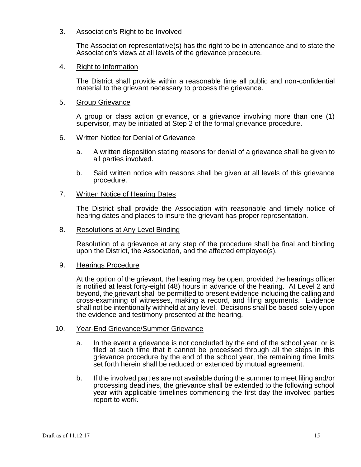# 3. Association's Right to be Involved

The Association representative(s) has the right to be in attendance and to state the Association's views at all levels of the grievance procedure.

## 4. Right to Information

The District shall provide within a reasonable time all public and non-confidential material to the grievant necessary to process the grievance.

## 5. Group Grievance

A group or class action grievance, or a grievance involving more than one (1) supervisor, may be initiated at Step 2 of the formal grievance procedure.

# 6. Written Notice for Denial of Grievance

- a. A written disposition stating reasons for denial of a grievance shall be given to all parties involved.
- b. Said written notice with reasons shall be given at all levels of this grievance procedure.

## 7. Written Notice of Hearing Dates

The District shall provide the Association with reasonable and timely notice of hearing dates and places to insure the grievant has proper representation.

### 8. Resolutions at Any Level Binding

Resolution of a grievance at any step of the procedure shall be final and binding upon the District, the Association, and the affected employee(s).

## 9. Hearings Procedure

At the option of the grievant, the hearing may be open, provided the hearings officer is notified at least forty-eight (48) hours in advance of the hearing. At Level 2 and beyond, the grievant shall be permitted to present evidence including the calling and cross-examining of witnesses, making a record, and filing arguments. Evidence shall not be intentionally withheld at any level. Decisions shall be based solely upon the evidence and testimony presented at the hearing.

## 10. Year-End Grievance/Summer Grievance

- a. In the event a grievance is not concluded by the end of the school year, or is filed at such time that it cannot be processed through all the steps in this grievance procedure by the end of the school year, the remaining time limits set forth herein shall be reduced or extended by mutual agreement.
- b. If the involved parties are not available during the summer to meet filing and/or processing deadlines, the grievance shall be extended to the following school year with applicable timelines commencing the first day the involved parties report to work.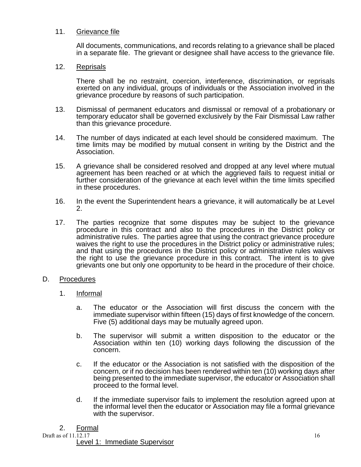# 11. Grievance file

All documents, communications, and records relating to a grievance shall be placed in a separate file. The grievant or designee shall have access to the grievance file.

# 12. Reprisals

There shall be no restraint, coercion, interference, discrimination, or reprisals exerted on any individual, groups of individuals or the Association involved in the grievance procedure by reasons of such participation.

- 13. Dismissal of permanent educators and dismissal or removal of a probationary or temporary educator shall be governed exclusively by the Fair Dismissal Law rather than this grievance procedure.
- 14. The number of days indicated at each level should be considered maximum. The time limits may be modified by mutual consent in writing by the District and the Association.
- 15. A grievance shall be considered resolved and dropped at any level where mutual agreement has been reached or at which the aggrieved fails to request initial or further consideration of the grievance at each level within the time limits specified in these procedures.
- 16. In the event the Superintendent hears a grievance, it will automatically be at Level 2.
- 17. The parties recognize that some disputes may be subject to the grievance procedure in this contract and also to the procedures in the District policy or administrative rules. The parties agree that using the contract grievance procedure waives the right to use the procedures in the District policy or administrative rules; and that using the procedures in the District policy or administrative rules waives the right to use the grievance procedure in this contract. The intent is to give grievants one but only one opportunity to be heard in the procedure of their choice.

## D. Procedures

- 1. Informal
	- a. The educator or the Association will first discuss the concern with the immediate supervisor within fifteen (15) days of first knowledge of the concern. Five (5) additional days may be mutually agreed upon.
	- b. The supervisor will submit a written disposition to the educator or the Association within ten (10) working days following the discussion of the concern.
	- c. If the educator or the Association is not satisfied with the disposition of the concern, or if no decision has been rendered within ten (10) working days after being presented to the immediate supervisor, the educator or Association shall proceed to the formal level.
	- d. If the immediate supervisor fails to implement the resolution agreed upon at the informal level then the educator or Association may file a formal grievance with the supervisor.

## 2. Formal

Draft as of 11.12.17 16

Level 1: Immediate Supervisor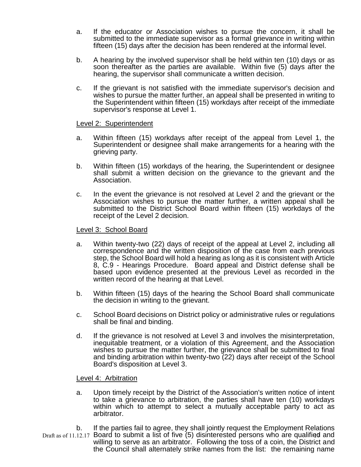- a. If the educator or Association wishes to pursue the concern, it shall be submitted to the immediate supervisor as a formal grievance in writing within fifteen (15) days after the decision has been rendered at the informal level.
- b. A hearing by the involved supervisor shall be held within ten (10) days or as soon thereafter as the parties are available. Within five (5) days after the hearing, the supervisor shall communicate a written decision.
- c. If the grievant is not satisfied with the immediate supervisor's decision and wishes to pursue the matter further, an appeal shall be presented in writing to the Superintendent within fifteen (15) workdays after receipt of the immediate supervisor's response at Level 1.

## Level 2: Superintendent

- a. Within fifteen (15) workdays after receipt of the appeal from Level 1, the Superintendent or designee shall make arrangements for a hearing with the grieving party.
- b. Within fifteen (15) workdays of the hearing, the Superintendent or designee shall submit a written decision on the grievance to the grievant and the Association.
- c. In the event the grievance is not resolved at Level 2 and the grievant or the Association wishes to pursue the matter further, a written appeal shall be submitted to the District School Board within fifteen (15) workdays of the receipt of the Level 2 decision.

#### Level 3: School Board

- a. Within twenty-two (22) days of receipt of the appeal at Level 2, including all correspondence and the written disposition of the case from each previous step, the School Board will hold a hearing as long as it is consistent with Article 8, C.9 - Hearings Procedure. Board appeal and District defense shall be based upon evidence presented at the previous Level as recorded in the written record of the hearing at that Level.
- b. Within fifteen (15) days of the hearing the School Board shall communicate the decision in writing to the grievant.
- c. School Board decisions on District policy or administrative rules or regulations shall be final and binding.
- d. If the grievance is not resolved at Level 3 and involves the misinterpretation, inequitable treatment, or a violation of this Agreement, and the Association wishes to pursue the matter further, the grievance shall be submitted to final and binding arbitration within twenty-two (22) days after receipt of the School Board's disposition at Level 3.

#### Level 4: Arbitration

- a. Upon timely receipt by the District of the Association's written notice of intent to take a grievance to arbitration, the parties shall have ten (10) workdays within which to attempt to select a mutually acceptable party to act as arbitrator.
- Draft as of 11.12.17 Board to submit a list of five (5) disinterested persons who are qualified and b. If the parties fail to agree, they shall jointly request the Employment Relations willing to serve as an arbitrator. Following the toss of a coin, the District and the Council shall alternately strike names from the list: the remaining name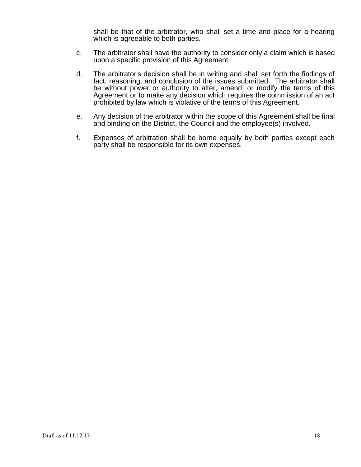shall be that of the arbitrator, who shall set a time and place for a hearing which is agreeable to both parties.

- c. The arbitrator shall have the authority to consider only a claim which is based upon a specific provision of this Agreement.
- d. The arbitrator's decision shall be in writing and shall set forth the findings of fact, reasoning, and conclusion of the issues submitted. The arbitrator shall be without power or authority to alter, amend, or modify the terms of this Agreement or to make any decision which requires the commission of an act prohibited by law which is violative of the terms of this Agreement.
- e. Any decision of the arbitrator within the scope of this Agreement shall be final and binding on the District, the Council and the employee(s) involved.
- f. Expenses of arbitration shall be borne equally by both parties except each party shall be responsible for its own expenses.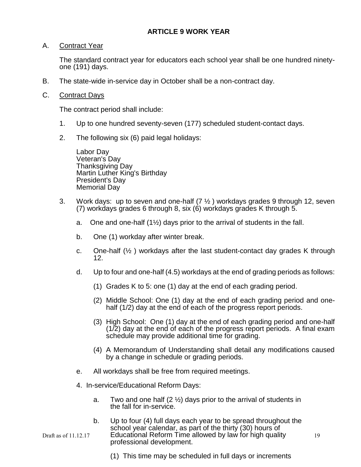# **ARTICLE 9 WORK YEAR**

# A. Contract Year

The standard contract year for educators each school year shall be one hundred ninetyone (191) days.

B. The state-wide in-service day in October shall be a non-contract day.

# C. Contract Days

The contract period shall include:

- 1. Up to one hundred seventy-seven (177) scheduled student-contact days.
- 2. The following six (6) paid legal holidays:

Labor Day Veteran's Day Thanksgiving Day Martin Luther King's Birthday President's Day Memorial Day

- 3. Work days: up to seven and one-half  $(7 \frac{1}{2})$  workdays grades 9 through 12, seven (7) workdays grades 6 through 8, six (6) workdays grades K through 5.
	- a. One and one-half  $(1\frac{1}{2})$  days prior to the arrival of students in the fall.
	- b. One (1) workday after winter break.
	- c. One-half  $(\frac{1}{2})$  workdays after the last student-contact day grades K through 12.
	- d. Up to four and one-half (4.5) workdays at the end of grading periods as follows:
		- (1) Grades K to 5: one (1) day at the end of each grading period.
		- (2) Middle School: One (1) day at the end of each grading period and onehalf (1/2) day at the end of each of the progress report periods.
		- (3) High School: One (1) day at the end of each grading period and one-half  $(1/2)$  day at the end of each of the progress report periods. A final exam schedule may provide additional time for grading.
		- (4) A Memorandum of Understanding shall detail any modifications caused by a change in schedule or grading periods.
	- e. All workdays shall be free from required meetings.
	- 4. In-service/Educational Reform Days:
		- a. Two and one half  $(2 \frac{1}{2})$  days prior to the arrival of students in the fall for in-service.
- Draft as of 11.12.17 **Educational Reform Time allowed by law for high quality** 19 b. Up to four (4) full days each year to be spread throughout the school year calendar, as part of the thirty (30) hours of professional development.

(1) This time may be scheduled in full days or increments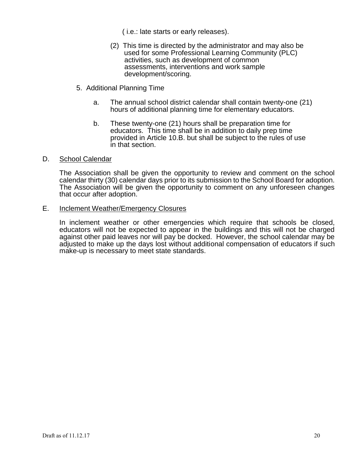( i.e.: late starts or early releases).

- (2) This time is directed by the administrator and may also be used for some Professional Learning Community (PLC) activities, such as development of common assessments, interventions and work sample development/scoring.
- 5. Additional Planning Time
	- a. The annual school district calendar shall contain twenty-one (21) hours of additional planning time for elementary educators.
	- b. These twenty-one (21) hours shall be preparation time for educators. This time shall be in addition to daily prep time provided in Article 10.B. but shall be subject to the rules of use in that section.

#### D. School Calendar

The Association shall be given the opportunity to review and comment on the school calendar thirty (30) calendar days prior to its submission to the School Board for adoption. The Association will be given the opportunity to comment on any unforeseen changes that occur after adoption.

#### E. Inclement Weather/Emergency Closures

In inclement weather or other emergencies which require that schools be closed, educators will not be expected to appear in the buildings and this will not be charged against other paid leaves nor will pay be docked. However, the school calendar may be adjusted to make up the days lost without additional compensation of educators if such make-up is necessary to meet state standards.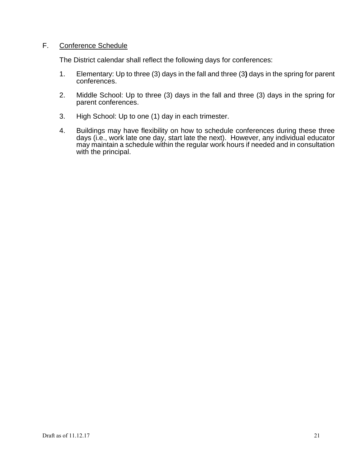# F. Conference Schedule

The District calendar shall reflect the following days for conferences:

- 1. Elementary: Up to three (3) days in the fall and three (3**)** days in the spring for parent conferences.
- 2. Middle School: Up to three (3) days in the fall and three (3) days in the spring for parent conferences.
- 3. High School: Up to one (1) day in each trimester.
- 4. Buildings may have flexibility on how to schedule conferences during these three days (i.e., work late one day, start late the next). However, any individual educator may maintain a schedule within the regular work hours if needed and in consultation with the principal.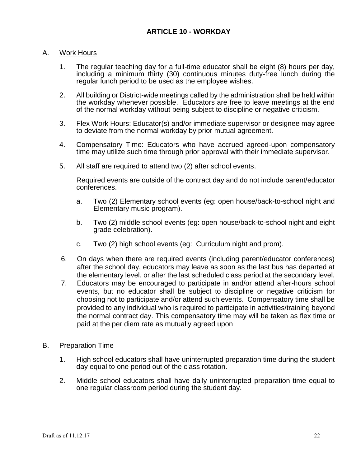# A. Work Hours

- 1. The regular teaching day for a full-time educator shall be eight (8) hours per day, including a minimum thirty (30) continuous minutes duty-free lunch during the regular lunch period to be used as the employee wishes.
- 2. All building or District-wide meetings called by the administration shall be held within the workday whenever possible. Educators are free to leave meetings at the end of the normal workday without being subject to discipline or negative criticism.
- 3. Flex Work Hours: Educator(s) and/or immediate supervisor or designee may agree to deviate from the normal workday by prior mutual agreement.
- 4. Compensatory Time: Educators who have accrued agreed-upon compensatory time may utilize such time through prior approval with their immediate supervisor.
- 5. All staff are required to attend two (2) after school events.

Required events are outside of the contract day and do not include parent/educator conferences.

- a. Two (2) Elementary school events (eg: open house/back-to-school night and Elementary music program).
- b. Two (2) middle school events (eg: open house/back-to-school night and eight grade celebration).
- c. Two (2) high school events (eg: Curriculum night and prom).
- 6. On days when there are required events (including parent/educator conferences) after the school day, educators may leave as soon as the last bus has departed at the elementary level, or after the last scheduled class period at the secondary level.
- 7. Educators may be encouraged to participate in and/or attend after-hours school events, but no educator shall be subject to discipline or negative criticism for choosing not to participate and/or attend such events. Compensatory time shall be provided to any individual who is required to participate in activities/training beyond the normal contract day. This compensatory time may will be taken as flex time or paid at the per diem rate as mutually agreed upon.

# B. Preparation Time

- 1. High school educators shall have uninterrupted preparation time during the student day equal to one period out of the class rotation.
- 2. Middle school educators shall have daily uninterrupted preparation time equal to one regular classroom period during the student day.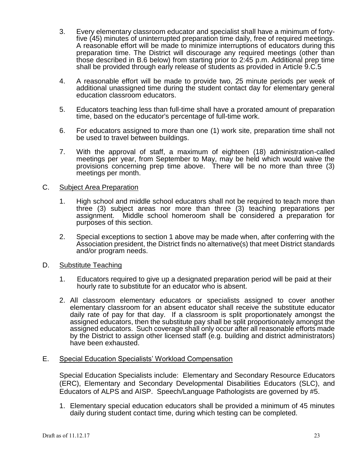- 3. Every elementary classroom educator and specialist shall have a minimum of fortyfive (45) minutes of uninterrupted preparation time daily, free of required meetings. A reasonable effort will be made to minimize interruptions of educators during this preparation time. The District will discourage any required meetings (other than those described in B.6 below) from starting prior to 2:45 p.m. Additional prep time shall be provided through early release of students as provided in Article 9.C.5
- 4. A reasonable effort will be made to provide two, 25 minute periods per week of additional unassigned time during the student contact day for elementary general education classroom educators.
- 5. Educators teaching less than full-time shall have a prorated amount of preparation time, based on the educator's percentage of full-time work.
- 6. For educators assigned to more than one (1) work site, preparation time shall not be used to travel between buildings.
- 7. With the approval of staff, a maximum of eighteen (18) administration-called meetings per year, from September to May, may be held which would waive the provisions concerning prep time above. There will be no more than three (3) meetings per month.

#### C. Subject Area Preparation

- 1. High school and middle school educators shall not be required to teach more than three (3) subject areas nor more than three (3) teaching preparations per assignment. Middle school homeroom shall be considered a preparation for purposes of this section.
- 2. Special exceptions to section 1 above may be made when, after conferring with the Association president, the District finds no alternative(s) that meet District standards and/or program needs.
- D. Substitute Teaching
	- 1. Educators required to give up a designated preparation period will be paid at their hourly rate to substitute for an educator who is absent.
	- 2. All classroom elementary educators or specialists assigned to cover another elementary classroom for an absent educator shall receive the substitute educator daily rate of pay for that day. If a classroom is split proportionately amongst the assigned educators, then the substitute pay shall be split proportionately amongst the assigned educators. Such coverage shall only occur after all reasonable efforts made by the District to assign other licensed staff (e.g. building and district administrators) have been exhausted.

## E. Special Education Specialists' Workload Compensation

Special Education Specialists include: Elementary and Secondary Resource Educators (ERC), Elementary and Secondary Developmental Disabilities Educators (SLC), and Educators of ALPS and AISP. Speech/Language Pathologists are governed by #5.

1. Elementary special education educators shall be provided a minimum of 45 minutes daily during student contact time, during which testing can be completed.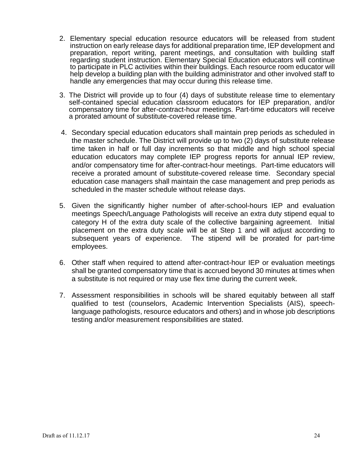- 2. Elementary special education resource educators will be released from student instruction on early release days for additional preparation time, IEP development and preparation, report writing, parent meetings, and consultation with building staff regarding student instruction. Elementary Special Education educators will continue to participate in PLC activities within their buildings. Each resource room educator will help develop a building plan with the building administrator and other involved staff to handle any emergencies that may occur during this release time.
- 3. The District will provide up to four (4) days of substitute release time to elementary self-contained special education classroom educators for IEP preparation, and/or compensatory time for after-contract-hour meetings. Part-time educators will receive a prorated amount of substitute-covered release time.
- 4. Secondary special education educators shall maintain prep periods as scheduled in the master schedule. The District will provide up to two (2) days of substitute release time taken in half or full day increments so that middle and high school special education educators may complete IEP progress reports for annual IEP review, and/or compensatory time for after-contract-hour meetings. Part-time educators will receive a prorated amount of substitute-covered release time. Secondary special education case managers shall maintain the case management and prep periods as scheduled in the master schedule without release days.
- 5. Given the significantly higher number of after-school-hours IEP and evaluation meetings Speech/Language Pathologists will receive an extra duty stipend equal to category H of the extra duty scale of the collective bargaining agreement. Initial placement on the extra duty scale will be at Step 1 and will adjust according to subsequent years of experience. The stipend will be prorated for part-time employees.
- 6. Other staff when required to attend after-contract-hour IEP or evaluation meetings shall be granted compensatory time that is accrued beyond 30 minutes at times when a substitute is not required or may use flex time during the current week.
- 7. Assessment responsibilities in schools will be shared equitably between all staff qualified to test (counselors, Academic Intervention Specialists (AIS), speechlanguage pathologists, resource educators and others) and in whose job descriptions testing and/or measurement responsibilities are stated.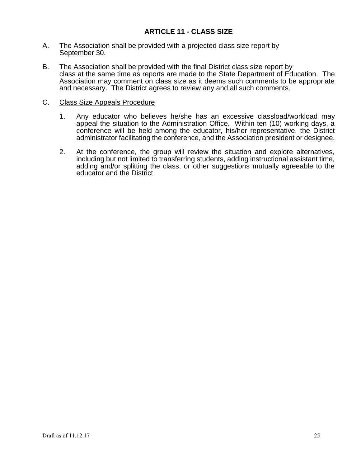- A. The Association shall be provided with a projected class size report by September 30.
- B. The Association shall be provided with the final District class size report by class at the same time as reports are made to the State Department of Education. The Association may comment on class size as it deems such comments to be appropriate and necessary. The District agrees to review any and all such comments.

## C. Class Size Appeals Procedure

- 1. Any educator who believes he/she has an excessive classload/workload may appeal the situation to the Administration Office. Within ten (10) working days, a conference will be held among the educator, his/her representative, the District administrator facilitating the conference, and the Association president or designee.
- 2. At the conference, the group will review the situation and explore alternatives, including but not limited to transferring students, adding instructional assistant time, adding and/or splitting the class, or other suggestions mutually agreeable to the educator and the District.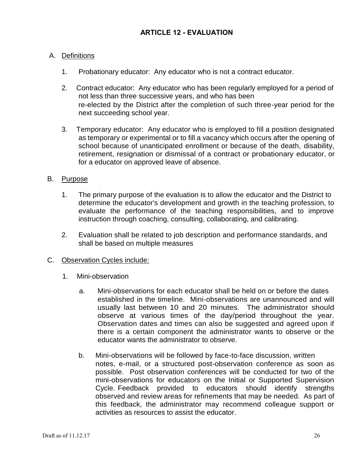# A. Definitions

- 1. Probationary educator: Any educator who is not a contract educator.
- 2. Contract educator: Any educator who has been regularly employed for a period of not less than three successive years, and who has been re-elected by the District after the completion of such three-year period for the next succeeding school year.
- 3. Temporary educator: Any educator who is employed to fill a position designated as temporary or experimental or to fill a vacancy which occurs after the opening of school because of unanticipated enrollment or because of the death, disability, retirement, resignation or dismissal of a contract or probationary educator, or for a educator on approved leave of absence.

# B. Purpose

- 1. The primary purpose of the evaluation is to allow the educator and the District to determine the educator's development and growth in the teaching profession, to evaluate the performance of the teaching responsibilities, and to improve instruction through coaching, consulting, collaborating, and calibrating.
- 2. Evaluation shall be related to job description and performance standards, and shall be based on multiple measures
- C. Observation Cycles include:
	- 1. Mini-observation
		- a. Mini-observations for each educator shall be held on or before the dates established in the timeline. Mini-observations are unannounced and will usually last between 10 and 20 minutes. The administrator should observe at various times of the day/period throughout the year. Observation dates and times can also be suggested and agreed upon if there is a certain component the administrator wants to observe or the educator wants the administrator to observe.
		- b. Mini-observations will be followed by face-to-face discussion, written notes, e-mail, or a structured post-observation conference as soon as possible. Post observation conferences will be conducted for two of the mini-observations for educators on the Initial or Supported Supervision Cycle. Feedback provided to educators should identify strengths observed and review areas for refinements that may be needed. As part of this feedback, the administrator may recommend colleague support or activities as resources to assist the educator.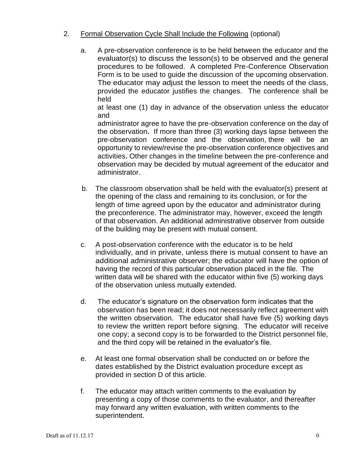# 2. Formal Observation Cycle Shall Include the Following (optional)

a. A pre-observation conference is to be held between the educator and the evaluator(s) to discuss the lesson(s) to be observed and the general procedures to be followed. A completed Pre-Conference Observation Form is to be used to guide the discussion of the upcoming observation. The educator may adjust the lesson to meet the needs of the class, provided the educator justifies the changes. The conference shall be held

at least one (1) day in advance of the observation unless the educator and

administrator agree to have the pre-observation conference on the day of the observation**.** If more than three (3) working days lapse between the pre-observation conference and the observation, there will be an opportunity to review/revise the pre-observation conference objectives and activities**.** Other changes in the timeline between the pre-conference and observation may be decided by mutual agreement of the educator and administrator.

- b. The classroom observation shall be held with the evaluator(s) present at the opening of the class and remaining to its conclusion, or for the length of time agreed upon by the educator and administrator during the preconference. The administrator may, however, exceed the length of that observation. An additional administrative observer from outside of the building may be present with mutual consent.
- c. A post-observation conference with the educator is to be held individually, and in private, unless there is mutual consent to have an additional administrative observer; the educator will have the option of having the record of this particular observation placed in the file. The written data will be shared with the educator within five (5) working days of the observation unless mutually extended.
- d. The educator's signature on the observation form indicates that the observation has been read; it does not necessarily reflect agreement with the written observation. The educator shall have five (5) working days to review the written report before signing. The educator will receive one copy; a second copy is to be forwarded to the District personnel file, and the third copy will be retained in the evaluator's file.
- e. At least one formal observation shall be conducted on or before the dates established by the District evaluation procedure except as provided in section D of this article.
- f. The educator may attach written comments to the evaluation by presenting a copy of those comments to the evaluator, and thereafter may forward any written evaluation, with written comments to the superintendent.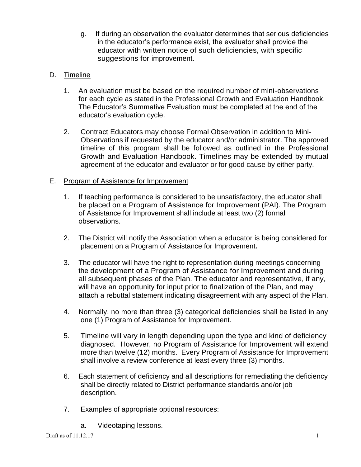g. If during an observation the evaluator determines that serious deficiencies in the educator's performance exist, the evaluator shall provide the educator with written notice of such deficiencies, with specific suggestions for improvement.

# D. Timeline

- 1. An evaluation must be based on the required number of mini-observations for each cycle as stated in the Professional Growth and Evaluation Handbook. The Educator's Summative Evaluation must be completed at the end of the educator's evaluation cycle.
- 2. Contract Educators may choose Formal Observation in addition to Mini-Observations if requested by the educator and/or administrator. The approved timeline of this program shall be followed as outlined in the Professional Growth and Evaluation Handbook. Timelines may be extended by mutual agreement of the educator and evaluator or for good cause by either party.

# E. Program of Assistance for Improvement

- 1. If teaching performance is considered to be unsatisfactory, the educator shall be placed on a Program of Assistance for Improvement (PAI). The Program of Assistance for Improvement shall include at least two (2) formal observations.
- 2. The District will notify the Association when a educator is being considered for placement on a Program of Assistance for Improvement*.*
- 3. The educator will have the right to representation during meetings concerning the development of a Program of Assistance for Improvement and during all subsequent phases of the Plan. The educator and representative, if any, will have an opportunity for input prior to finalization of the Plan, and may attach a rebuttal statement indicating disagreement with any aspect of the Plan.
- 4. Normally, no more than three (3) categorical deficiencies shall be listed in any one (1) Program of Assistance for Improvement.
- 5. Timeline will vary in length depending upon the type and kind of deficiency diagnosed. However, no Program of Assistance for Improvement will extend more than twelve (12) months. Every Program of Assistance for Improvement shall involve a review conference at least every three (3) months.
- 6. Each statement of deficiency and all descriptions for remediating the deficiency shall be directly related to District performance standards and/or job description.
- 7. Examples of appropriate optional resources:
	- a. Videotaping lessons.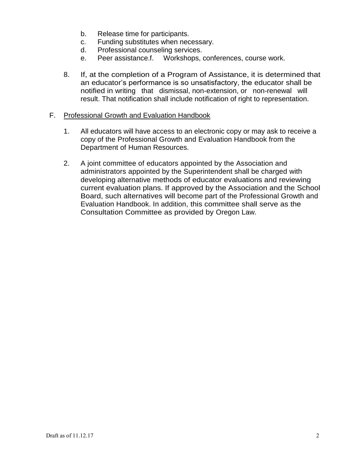- b. Release time for participants.
- c. Funding substitutes when necessary.
- d. Professional counseling services.
- e. Peer assistance.f. Workshops, conferences, course work.
- 8. If, at the completion of a Program of Assistance, it is determined that an educator's performance is so unsatisfactory, the educator shall be notified in writing that dismissal, non-extension, or non-renewal will result. That notification shall include notification of right to representation.

## F. Professional Growth and Evaluation Handbook

- 1. All educators will have access to an electronic copy or may ask to receive a copy of the Professional Growth and Evaluation Handbook from the Department of Human Resources.
- 2. A joint committee of educators appointed by the Association and administrators appointed by the Superintendent shall be charged with developing alternative methods of educator evaluations and reviewing current evaluation plans. If approved by the Association and the School Board, such alternatives will become part of the Professional Growth and Evaluation Handbook. In addition, this committee shall serve as the Consultation Committee as provided by Oregon Law.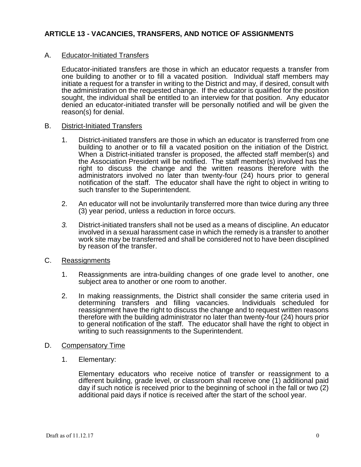# **ARTICLE 13 - VACANCIES, TRANSFERS, AND NOTICE OF ASSIGNMENTS**

## A. Educator-Initiated Transfers

Educator-initiated transfers are those in which an educator requests a transfer from one building to another or to fill a vacated position. Individual staff members may initiate a request for a transfer in writing to the District and may, if desired, consult with the administration on the requested change. If the educator is qualified for the position sought, the individual shall be entitled to an interview for that position. Any educator denied an educator-initiated transfer will be personally notified and will be given the reason(s) for denial.

#### B. District-Initiated Transfers

- 1. District-initiated transfers are those in which an educator is transferred from one building to another or to fill a vacated position on the initiation of the District. When a District-initiated transfer is proposed, the affected staff member(s) and the Association President will be notified. The staff member(s) involved has the right to discuss the change and the written reasons therefore with the administrators involved no later than twenty-four (24) hours prior to general notification of the staff. The educator shall have the right to object in writing to such transfer to the Superintendent.
- 2. An educator will not be involuntarily transferred more than twice during any three (3) year period, unless a reduction in force occurs.
- *3.* District-initiated transfers shall not be used as a means of discipline. An educator involved in a sexual harassment case in which the remedy is a transfer to another work site may be transferred and shall be considered not to have been disciplined by reason of the transfer.
- C. Reassignments
	- 1. Reassignments are intra-building changes of one grade level to another, one subject area to another or one room to another.
	- 2. In making reassignments, the District shall consider the same criteria used in determining transfers and filling vacancies. Individuals scheduled for determining transfers and filling vacancies. reassignment have the right to discuss the change and to request written reasons therefore with the building administrator no later than twenty-four (24) hours prior to general notification of the staff. The educator shall have the right to object in writing to such reassignments to the Superintendent.
- D. Compensatory Time
	- 1. Elementary:

Elementary educators who receive notice of transfer or reassignment to a different building, grade level, or classroom shall receive one (1) additional paid day if such notice is received prior to the beginning of school in the fall or two (2) additional paid days if notice is received after the start of the school year.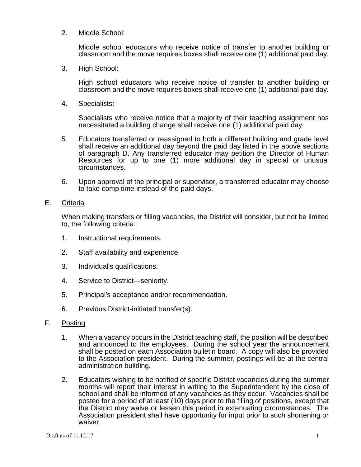2. Middle School:

Middle school educators who receive notice of transfer to another building or classroom and the move requires boxes shall receive one (1) additional paid day.

3. High School:

High school educators who receive notice of transfer to another building or classroom and the move requires boxes shall receive one (1) additional paid day.

4. Specialists:

Specialists who receive notice that a majority of their teaching assignment has necessitated a building change shall receive one (1) additional paid day.

- 5. Educators transferred or reassigned to both a different building and grade level shall receive an additional day beyond the paid day listed in the above sections of paragraph D. Any transferred educator may petition the Director of Human Resources for up to one (1) more additional day in special or unusual circumstances.
- 6. Upon approval of the principal or supervisor, a transferred educator may choose to take comp time instead of the paid days.
- E. Criteria

When making transfers or filling vacancies, the District will consider, but not be limited to, the following criteria:

- 1. Instructional requirements.
- 2. Staff availability and experience.
- 3. Individual's qualifications.
- 4. Service to District—seniority.
- 5. Principal's acceptance and/or recommendation.
- 6. Previous District-initiated transfer(s).
- F. Posting
	- 1. When a vacancy occurs in the District teaching staff, the position will be described and announced to the employees. During the school year the announcement shall be posted on each Association bulletin board. A copy will also be provided to the Association president. During the summer, postings will be at the central administration building.
	- 2. Educators wishing to be notified of specific District vacancies during the summer months will report their interest in writing to the Superintendent by the close of school and shall be informed of any vacancies as they occur. Vacancies shall be posted for a period of at least (10) days prior to the filling of positions, except that the District may waive or lessen this period in extenuating circumstances. The Association president shall have opportunity for input prior to such shortening or waiver.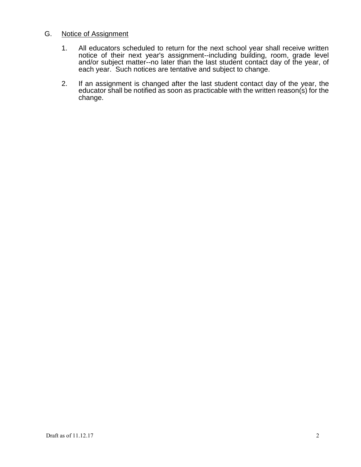# G. Notice of Assignment

- 1. All educators scheduled to return for the next school year shall receive written notice of their next year's assignment--including building, room, grade level and/or subject matter--no later than the last student contact day of the year, of each year. Such notices are tentative and subject to change.
- 2. If an assignment is changed after the last student contact day of the year, the educator shall be notified as soon as practicable with the written reason(s) for the change.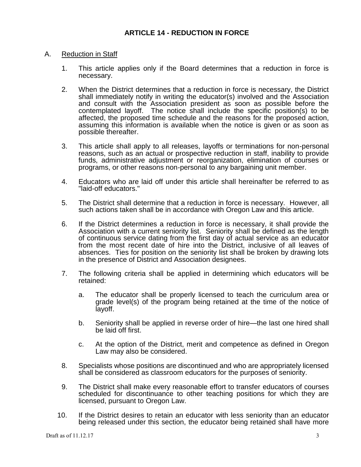## A. Reduction in Staff

- 1. This article applies only if the Board determines that a reduction in force is necessary.
- 2. When the District determines that a reduction in force is necessary, the District shall immediately notify in writing the educator(s) involved and the Association and consult with the Association president as soon as possible before the contemplated layoff. The notice shall include the specific position(s) to be affected, the proposed time schedule and the reasons for the proposed action, assuming this information is available when the notice is given or as soon as possible thereafter.
- 3. This article shall apply to all releases, layoffs or terminations for non-personal reasons, such as an actual or prospective reduction in staff, inability to provide funds, administrative adjustment or reorganization, elimination of courses or programs, or other reasons non-personal to any bargaining unit member.
- 4. Educators who are laid off under this article shall hereinafter be referred to as "laid-off educators."
- 5. The District shall determine that a reduction in force is necessary. However, all such actions taken shall be in accordance with Oregon Law and this article.
- 6. If the District determines a reduction in force is necessary, it shall provide the Association with a current seniority list. Seniority shall be defined as the length of continuous service dating from the first day of actual service as an educator from the most recent date of hire into the District, inclusive of all leaves of absences. Ties for position on the seniority list shall be broken by drawing lots in the presence of District and Association designees.
- 7. The following criteria shall be applied in determining which educators will be retained:
	- a. The educator shall be properly licensed to teach the curriculum area or grade level(s) of the program being retained at the time of the notice of layoff.
	- b. Seniority shall be applied in reverse order of hire—the last one hired shall be laid off first.
	- c. At the option of the District, merit and competence as defined in Oregon Law may also be considered.
- 8. Specialists whose positions are discontinued and who are appropriately licensed shall be considered as classroom educators for the purposes of seniority.
- 9. The District shall make every reasonable effort to transfer educators of courses scheduled for discontinuance to other teaching positions for which they are licensed, pursuant to Oregon Law.
- 10. If the District desires to retain an educator with less seniority than an educator being released under this section, the educator being retained shall have more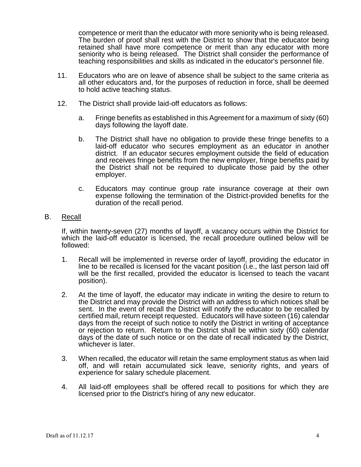competence or merit than the educator with more seniority who is being released. The burden of proof shall rest with the District to show that the educator being retained shall have more competence or merit than any educator with more seniority who is being released. The District shall consider the performance of teaching responsibilities and skills as indicated in the educator's personnel file.

- 11. Educators who are on leave of absence shall be subject to the same criteria as all other educators and, for the purposes of reduction in force, shall be deemed to hold active teaching status.
- 12. The District shall provide laid-off educators as follows:
	- a. Fringe benefits as established in this Agreement for a maximum of sixty (60) days following the layoff date.
	- b. The District shall have no obligation to provide these fringe benefits to a laid-off educator who secures employment as an educator in another district. If an educator secures employment outside the field of education and receives fringe benefits from the new employer, fringe benefits paid by the District shall not be required to duplicate those paid by the other employer.
	- c. Educators may continue group rate insurance coverage at their own expense following the termination of the District-provided benefits for the duration of the recall period.
- B. Recall

If, within twenty-seven (27) months of layoff, a vacancy occurs within the District for which the laid-off educator is licensed, the recall procedure outlined below will be followed:

- 1. Recall will be implemented in reverse order of layoff, providing the educator in line to be recalled is licensed for the vacant position (i.e., the last person laid off will be the first recalled, provided the educator is licensed to teach the vacant position).
- 2. At the time of layoff, the educator may indicate in writing the desire to return to the District and may provide the District with an address to which notices shall be sent. In the event of recall the District will notify the educator to be recalled by certified mail, return receipt requested. Educators will have sixteen (16) calendar days from the receipt of such notice to notify the District in writing of acceptance or rejection to return. Return to the District shall be within sixty (60) calendar days of the date of such notice or on the date of recall indicated by the District, whichever is later.
- 3. When recalled, the educator will retain the same employment status as when laid off, and will retain accumulated sick leave, seniority rights, and years of experience for salary schedule placement.
- 4. All laid-off employees shall be offered recall to positions for which they are licensed prior to the District's hiring of any new educator.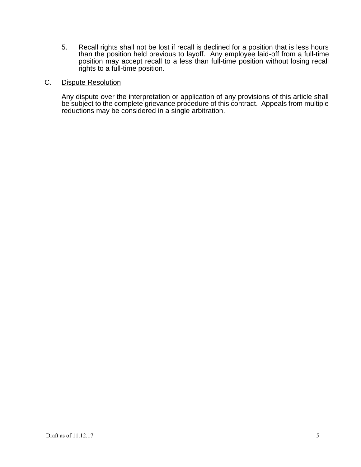5. Recall rights shall not be lost if recall is declined for a position that is less hours than the position held previous to layoff. Any employee laid-off from a full-time position may accept recall to a less than full-time position without losing recall rights to a full-time position.

#### C. Dispute Resolution

Any dispute over the interpretation or application of any provisions of this article shall be subject to the complete grievance procedure of this contract. Appeals from multiple reductions may be considered in a single arbitration.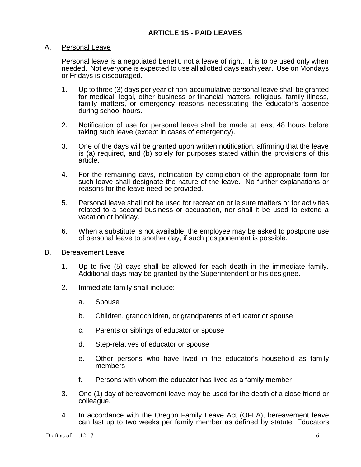## A. Personal Leave

Personal leave is a negotiated benefit, not a leave of right. It is to be used only when needed. Not everyone is expected to use all allotted days each year. Use on Mondays or Fridays is discouraged.

- 1. Up to three (3) days per year of non-accumulative personal leave shall be granted for medical, legal, other business or financial matters, religious, family illness, family matters, or emergency reasons necessitating the educator's absence during school hours.
- 2. Notification of use for personal leave shall be made at least 48 hours before taking such leave (except in cases of emergency).
- 3. One of the days will be granted upon written notification, affirming that the leave is (a) required, and (b) solely for purposes stated within the provisions of this article.
- 4. For the remaining days, notification by completion of the appropriate form for such leave shall designate the nature of the leave. No further explanations or reasons for the leave need be provided.
- 5. Personal leave shall not be used for recreation or leisure matters or for activities related to a second business or occupation, nor shall it be used to extend a vacation or holiday.
- 6. When a substitute is not available, the employee may be asked to postpone use of personal leave to another day, if such postponement is possible.

## B. Bereavement Leave

- 1. Up to five (5) days shall be allowed for each death in the immediate family. Additional days may be granted by the Superintendent or his designee.
- 2. Immediate family shall include:
	- a. Spouse
	- b. Children, grandchildren, or grandparents of educator or spouse
	- c. Parents or siblings of educator or spouse
	- d. Step-relatives of educator or spouse
	- e. Other persons who have lived in the educator's household as family members
	- f. Persons with whom the educator has lived as a family member
- 3. One (1) day of bereavement leave may be used for the death of a close friend or colleague.
- 4. In accordance with the Oregon Family Leave Act (OFLA), bereavement leave can last up to two weeks per family member as defined by statute. Educators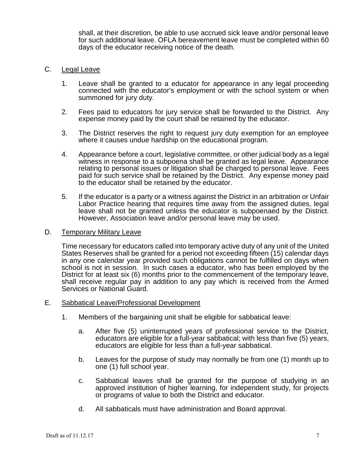shall, at their discretion, be able to use accrued sick leave and/or personal leave for such additional leave. OFLA bereavement leave must be completed within 60 days of the educator receiving notice of the death.

## C. Legal Leave

- 1. Leave shall be granted to a educator for appearance in any legal proceeding connected with the educator's employment or with the school system or when summoned for jury duty.
- 2. Fees paid to educators for jury service shall be forwarded to the District. Any expense money paid by the court shall be retained by the educator.
- 3. The District reserves the right to request jury duty exemption for an employee where it causes undue hardship on the educational program.
- 4. Appearance before a court, legislative committee, or other judicial body as a legal witness in response to a subpoena shall be granted as legal leave. Appearance relating to personal issues or litigation shall be charged to personal leave. Fees paid for such service shall be retained by the District. Any expense money paid to the educator shall be retained by the educator.
- 5. If the educator is a party or a witness against the District in an arbitration or Unfair Labor Practice hearing that requires time away from the assigned duties, legal leave shall not be granted unless the educator is subpoenaed by the District. However, Association leave and/or personal leave may be used.
- D. Temporary Military Leave

Time necessary for educators called into temporary active duty of any unit of the United States Reserves shall be granted for a period not exceeding fifteen (15) calendar days in any one calendar year provided such obligations cannot be fulfilled on days when school is not in session. In such cases a educator, who has been employed by the District for at least six (6) months prior to the commencement of the temporary leave, shall receive regular pay in addition to any pay which is received from the Armed Services or National Guard.

- E. Sabbatical Leave/Professional Development
	- 1. Members of the bargaining unit shall be eligible for sabbatical leave:
		- a. After five (5) uninterrupted years of professional service to the District, educators are eligible for a full-year sabbatical; with less than five (5) years, educators are eligible for less than a full-year sabbatical.
		- b. Leaves for the purpose of study may normally be from one (1) month up to one (1) full school year.
		- c. Sabbatical leaves shall be granted for the purpose of studying in an approved institution of higher learning, for independent study, for projects or programs of value to both the District and educator.
		- d. All sabbaticals must have administration and Board approval.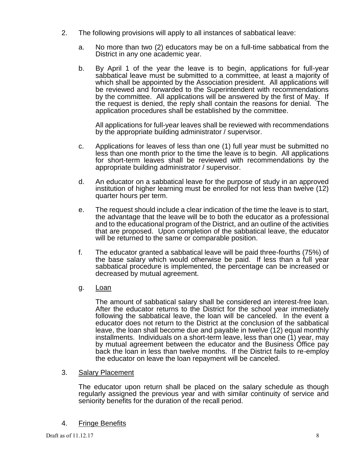- 2. The following provisions will apply to all instances of sabbatical leave:
	- a. No more than two (2) educators may be on a full-time sabbatical from the District in any one academic year.
	- b. By April 1 of the year the leave is to begin, applications for full-year sabbatical leave must be submitted to a committee, at least a majority of which shall be appointed by the Association president. All applications will be reviewed and forwarded to the Superintendent with recommendations by the committee. All applications will be answered by the first of May. If the request is denied, the reply shall contain the reasons for denial. The application procedures shall be established by the committee.

All applications for full-year leaves shall be reviewed with recommendations by the appropriate building administrator / supervisor.

- c. Applications for leaves of less than one (1) full year must be submitted no less than one month prior to the time the leave is to begin. All applications for short-term leaves shall be reviewed with recommendations by the appropriate building administrator / supervisor.
- d. An educator on a sabbatical leave for the purpose of study in an approved institution of higher learning must be enrolled for not less than twelve (12) quarter hours per term.
- e. The request should include a clear indication of the time the leave is to start, the advantage that the leave will be to both the educator as a professional and to the educational program of the District, and an outline of the activities that are proposed. Upon completion of the sabbatical leave, the educator will be returned to the same or comparable position.
- f. The educator granted a sabbatical leave will be paid three-fourths (75%) of the base salary which would otherwise be paid. If less than a full year sabbatical procedure is implemented, the percentage can be increased or decreased by mutual agreement.
- g. Loan

The amount of sabbatical salary shall be considered an interest-free loan. After the educator returns to the District for the school year immediately following the sabbatical leave, the loan will be canceled. In the event a educator does not return to the District at the conclusion of the sabbatical leave, the loan shall become due and payable in twelve (12) equal monthly installments. Individuals on a short-term leave, less than one (1) year, may by mutual agreement between the educator and the Business Office pay back the loan in less than twelve months. If the District fails to re-employ the educator on leave the loan repayment will be canceled.

# 3. Salary Placement

The educator upon return shall be placed on the salary schedule as though regularly assigned the previous year and with similar continuity of service and seniority benefits for the duration of the recall period.

# 4. Fringe Benefits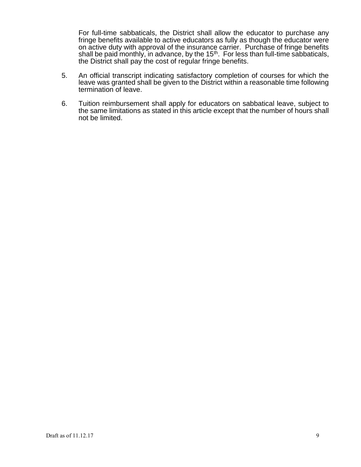For full-time sabbaticals, the District shall allow the educator to purchase any fringe benefits available to active educators as fully as though the educator were on active duty with approval of the insurance carrier. Purchase of fringe benefits shall be paid monthly, in advance, by the  $15<sup>th</sup>$ . For less than full-time sabbaticals, the District shall pay the cost of regular fringe benefits.

- 5. An official transcript indicating satisfactory completion of courses for which the leave was granted shall be given to the District within a reasonable time following termination of leave.
- 6. Tuition reimbursement shall apply for educators on sabbatical leave, subject to the same limitations as stated in this article except that the number of hours shall not be limited.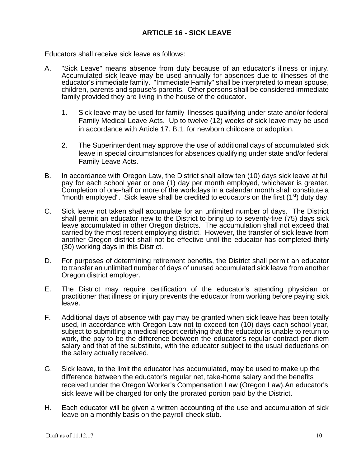Educators shall receive sick leave as follows:

- A. "Sick Leave" means absence from duty because of an educator's illness or injury. Accumulated sick leave may be used annually for absences due to illnesses of the educator's immediate family. "Immediate Family" shall be interpreted to mean spouse, children, parents and spouse's parents. Other persons shall be considered immediate family provided they are living in the house of the educator.
	- 1. Sick leave may be used for family illnesses qualifying under state and/or federal Family Medical Leave Acts. Up to twelve (12) weeks of sick leave may be used in accordance with Article 17. B.1. for newborn childcare or adoption.
	- 2. The Superintendent may approve the use of additional days of accumulated sick leave in special circumstances for absences qualifying under state and/or federal Family Leave Acts.
- B. In accordance with Oregon Law, the District shall allow ten (10) days sick leave at full pay for each school year or one (1) day per month employed, whichever is greater. Completion of one-half or more of the workdays in a calendar month shall constitute a "month employed". Sick leave shall be credited to educators on the first (1<sup>st</sup>) duty day.
- C. Sick leave not taken shall accumulate for an unlimited number of days. The District shall permit an educator new to the District to bring up to seventy-five (75) days sick leave accumulated in other Oregon districts. The accumulation shall not exceed that carried by the most recent employing district. However, the transfer of sick leave from another Oregon district shall not be effective until the educator has completed thirty (30) working days in this District.
- D. For purposes of determining retirement benefits, the District shall permit an educator to transfer an unlimited number of days of unused accumulated sick leave from another Oregon district employer.
- E. The District may require certification of the educator's attending physician or practitioner that illness or injury prevents the educator from working before paying sick leave.
- F. Additional days of absence with pay may be granted when sick leave has been totally used, in accordance with Oregon Law not to exceed ten (10) days each school year, subject to submitting a medical report certifying that the educator is unable to return to work, the pay to be the difference between the educator's regular contract per diem salary and that of the substitute, with the educator subject to the usual deductions on the salary actually received.
- G. Sick leave, to the limit the educator has accumulated, may be used to make up the difference between the educator's regular net, take-home salary and the benefits received under the Oregon Worker's Compensation Law (Oregon Law).An educator's sick leave will be charged for only the prorated portion paid by the District.
- H. Each educator will be given a written accounting of the use and accumulation of sick leave on a monthly basis on the payroll check stub.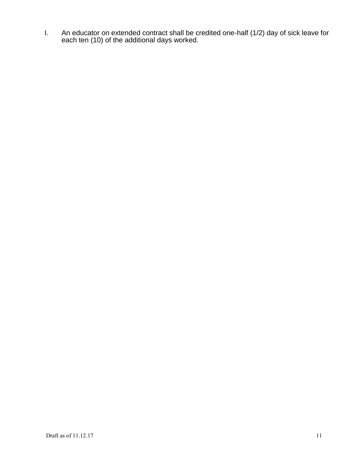I. An educator on extended contract shall be credited one-half (1/2) day of sick leave for each ten (10) of the additional days worked.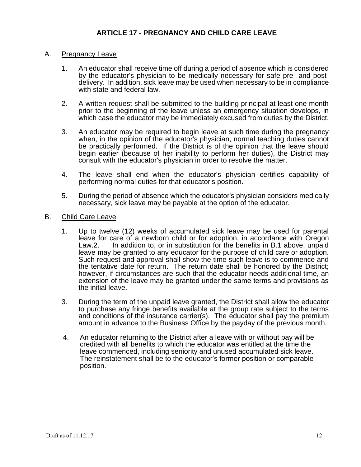# **ARTICLE 17 - PREGNANCY AND CHILD CARE LEAVE**

#### A. Pregnancy Leave

- 1. An educator shall receive time off during a period of absence which is considered by the educator's physician to be medically necessary for safe pre- and postdelivery. In addition, sick leave may be used when necessary to be in compliance with state and federal law.
- 2. A written request shall be submitted to the building principal at least one month prior to the beginning of the leave unless an emergency situation develops, in which case the educator may be immediately excused from duties by the District.
- 3. An educator may be required to begin leave at such time during the pregnancy when, in the opinion of the educator's physician, normal teaching duties cannot be practically performed. If the District is of the opinion that the leave should begin earlier (because of her inability to perform her duties), the District may consult with the educator's physician in order to resolve the matter.
- 4. The leave shall end when the educator's physician certifies capability of performing normal duties for that educator's position.
- 5. During the period of absence which the educator's physician considers medically necessary, sick leave may be payable at the option of the educator.

## B. Child Care Leave

- 1. Up to twelve (12) weeks of accumulated sick leave may be used for parental leave for care of a newborn child or for adoption, in accordance with Oregon Law.2. In addition to, or in substitution for the benefits in B.1 above, unpaid leave may be granted to any educator for the purpose of child care or adoption. Such request and approval shall show the time such leave is to commence and the tentative date for return. The return date shall be honored by the District; however, if circumstances are such that the educator needs additional time, an extension of the leave may be granted under the same terms and provisions as the initial leave.
- 3. During the term of the unpaid leave granted, the District shall allow the educator to purchase any fringe benefits available at the group rate subject to the terms and conditions of the insurance carrier(s). The educator shall pay the premium amount in advance to the Business Office by the payday of the previous month.
- 4. An educator returning to the District after a leave with or without pay will be credited with all benefits to which the educator was entitled at the time the leave commenced, including seniority and unused accumulated sick leave. The reinstatement shall be to the educator's former position or comparable position.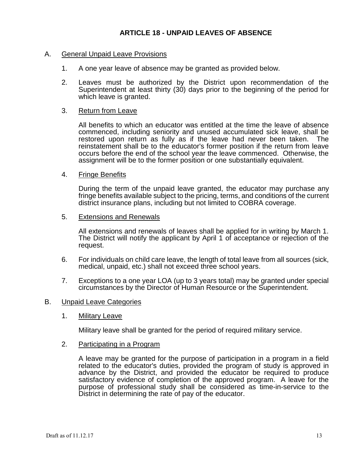## A. General Unpaid Leave Provisions

- 1. A one year leave of absence may be granted as provided below.
- 2. Leaves must be authorized by the District upon recommendation of the Superintendent at least thirty (30) days prior to the beginning of the period for which leave is granted.

#### 3. Return from Leave

All benefits to which an educator was entitled at the time the leave of absence commenced, including seniority and unused accumulated sick leave, shall be restored upon return as fully as if the leave had never been taken. The reinstatement shall be to the educator's former position if the return from leave occurs before the end of the school year the leave commenced. Otherwise, the assignment will be to the former position or one substantially equivalent.

#### 4. Fringe Benefits

During the term of the unpaid leave granted, the educator may purchase any fringe benefits available subject to the pricing, terms, and conditions of the current district insurance plans, including but not limited to COBRA coverage.

#### 5. Extensions and Renewals

All extensions and renewals of leaves shall be applied for in writing by March 1. The District will notify the applicant by April 1 of acceptance or rejection of the request.

- 6. For individuals on child care leave, the length of total leave from all sources (sick, medical, unpaid, etc.) shall not exceed three school years.
- 7. Exceptions to a one year LOA (up to 3 years total) may be granted under special circumstances by the Director of Human Resource or the Superintendent.

#### B. Unpaid Leave Categories

1. Military Leave

Military leave shall be granted for the period of required military service.

#### 2. Participating in a Program

A leave may be granted for the purpose of participation in a program in a field related to the educator's duties, provided the program of study is approved in advance by the District, and provided the educator be required to produce satisfactory evidence of completion of the approved program. A leave for the purpose of professional study shall be considered as time-in-service to the District in determining the rate of pay of the educator.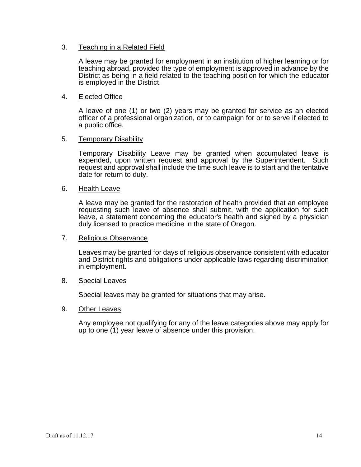## 3. Teaching in a Related Field

A leave may be granted for employment in an institution of higher learning or for teaching abroad, provided the type of employment is approved in advance by the District as being in a field related to the teaching position for which the educator is employed in the District.

## 4. Elected Office

A leave of one (1) or two (2) years may be granted for service as an elected officer of a professional organization, or to campaign for or to serve if elected to a public office.

## 5. Temporary Disability

Temporary Disability Leave may be granted when accumulated leave is expended, upon written request and approval by the Superintendent. Such request and approval shall include the time such leave is to start and the tentative date for return to duty.

#### 6. Health Leave

A leave may be granted for the restoration of health provided that an employee requesting such leave of absence shall submit, with the application for such leave, a statement concerning the educator's health and signed by a physician duly licensed to practice medicine in the state of Oregon.

## 7. Religious Observance

Leaves may be granted for days of religious observance consistent with educator and District rights and obligations under applicable laws regarding discrimination in employment.

## 8. Special Leaves

Special leaves may be granted for situations that may arise.

## 9. Other Leaves

Any employee not qualifying for any of the leave categories above may apply for up to one (1) year leave of absence under this provision.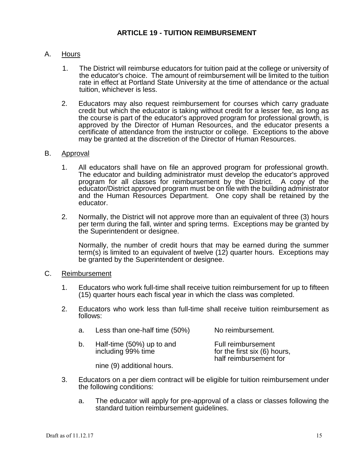# A. Hours

- 1. The District will reimburse educators for tuition paid at the college or university of the educator's choice. The amount of reimbursement will be limited to the tuition rate in effect at Portland State University at the time of attendance or the actual tuition, whichever is less.
- 2. Educators may also request reimbursement for courses which carry graduate credit but which the educator is taking without credit for a lesser fee, as long as the course is part of the educator's approved program for professional growth, is approved by the Director of Human Resources, and the educator presents a certificate of attendance from the instructor or college. Exceptions to the above may be granted at the discretion of the Director of Human Resources.

# B. Approval

- 1. All educators shall have on file an approved program for professional growth. The educator and building administrator must develop the educator's approved program for all classes for reimbursement by the District. A copy of the educator/District approved program must be on file with the building administrator and the Human Resources Department. One copy shall be retained by the educator.
- 2. Normally, the District will not approve more than an equivalent of three (3) hours per term during the fall, winter and spring terms. Exceptions may be granted by the Superintendent or designee.

Normally, the number of credit hours that may be earned during the summer term(s) is limited to an equivalent of twelve (12) quarter hours. Exceptions may be granted by the Superintendent or designee.

## C. Reimbursement

- 1. Educators who work full-time shall receive tuition reimbursement for up to fifteen (15) quarter hours each fiscal year in which the class was completed.
- 2. Educators who work less than full-time shall receive tuition reimbursement as follows:

| a. | Less than one-half time (50%)                   | No reimbursement.                                                            |
|----|-------------------------------------------------|------------------------------------------------------------------------------|
| b. | Half-time (50%) up to and<br>including 99% time | Full reimbursement<br>for the first six (6) hours,<br>half reimbursement for |

nine (9) additional hours.

- 3. Educators on a per diem contract will be eligible for tuition reimbursement under the following conditions:
	- a. The educator will apply for pre-approval of a class or classes following the standard tuition reimbursement guidelines.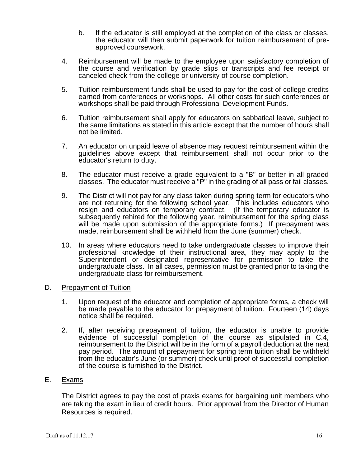- b. If the educator is still employed at the completion of the class or classes, the educator will then submit paperwork for tuition reimbursement of preapproved coursework.
- 4. Reimbursement will be made to the employee upon satisfactory completion of the course and verification by grade slips or transcripts and fee receipt or canceled check from the college or university of course completion.
- 5. Tuition reimbursement funds shall be used to pay for the cost of college credits earned from conferences or workshops. All other costs for such conferences or workshops shall be paid through Professional Development Funds.
- 6. Tuition reimbursement shall apply for educators on sabbatical leave, subject to the same limitations as stated in this article except that the number of hours shall not be limited.
- 7. An educator on unpaid leave of absence may request reimbursement within the guidelines above except that reimbursement shall not occur prior to the educator's return to duty.
- 8. The educator must receive a grade equivalent to a "B" or better in all graded classes. The educator must receive a "P" in the grading of all pass or fail classes.
- 9. The District will not pay for any class taken during spring term for educators who are not returning for the following school year. This includes educators who resign and educators on temporary contract. (If the temporary educator is subsequently rehired for the following year, reimbursement for the spring class will be made upon submission of the appropriate forms.) If prepayment was made, reimbursement shall be withheld from the June (summer) check.
- 10. In areas where educators need to take undergraduate classes to improve their professional knowledge of their instructional area, they may apply to the Superintendent or designated representative for permission to take the undergraduate class. In all cases, permission must be granted prior to taking the undergraduate class for reimbursement.
- D. Prepayment of Tuition
	- 1. Upon request of the educator and completion of appropriate forms, a check will be made payable to the educator for prepayment of tuition. Fourteen (14) days notice shall be required.
	- 2. If, after receiving prepayment of tuition, the educator is unable to provide evidence of successful completion of the course as stipulated in C.4, reimbursement to the District will be in the form of a payroll deduction at the next pay period. The amount of prepayment for spring term tuition shall be withheld from the educator's June (or summer) check until proof of successful completion of the course is furnished to the District.

# E. Exams

The District agrees to pay the cost of praxis exams for bargaining unit members who are taking the exam in lieu of credit hours. Prior approval from the Director of Human Resources is required.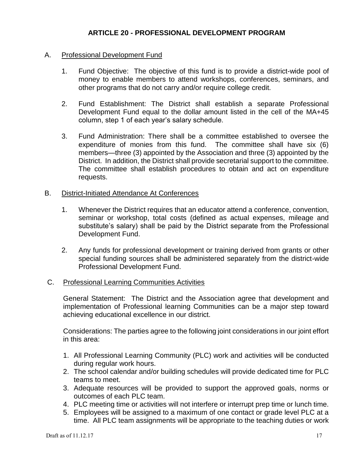# **ARTICLE 20 - PROFESSIONAL DEVELOPMENT PROGRAM**

## A. Professional Development Fund

- 1. Fund Objective: The objective of this fund is to provide a district-wide pool of money to enable members to attend workshops, conferences, seminars, and other programs that do not carry and/or require college credit.
- 2. Fund Establishment: The District shall establish a separate Professional Development Fund equal to the dollar amount listed in the cell of the MA+45 column, step 1 of each year's salary schedule.
- 3. Fund Administration: There shall be a committee established to oversee the expenditure of monies from this fund. The committee shall have six (6) members—three (3) appointed by the Association and three (3) appointed by the District. In addition, the District shall provide secretarial support to the committee. The committee shall establish procedures to obtain and act on expenditure requests.

## B. District-Initiated Attendance At Conferences

- 1. Whenever the District requires that an educator attend a conference, convention, seminar or workshop, total costs (defined as actual expenses, mileage and substitute's salary) shall be paid by the District separate from the Professional Development Fund.
- 2. Any funds for professional development or training derived from grants or other special funding sources shall be administered separately from the district-wide Professional Development Fund.

## C. Professional Learning Communities Activities

General Statement: The District and the Association agree that development and implementation of Professional learning Communities can be a major step toward achieving educational excellence in our district.

Considerations: The parties agree to the following joint considerations in our joint effort in this area:

- 1. All Professional Learning Community (PLC) work and activities will be conducted during regular work hours.
- 2. The school calendar and/or building schedules will provide dedicated time for PLC teams to meet.
- 3. Adequate resources will be provided to support the approved goals, norms or outcomes of each PLC team.
- 4. PLC meeting time or activities will not interfere or interrupt prep time or lunch time.
- 5. Employees will be assigned to a maximum of one contact or grade level PLC at a time. All PLC team assignments will be appropriate to the teaching duties or work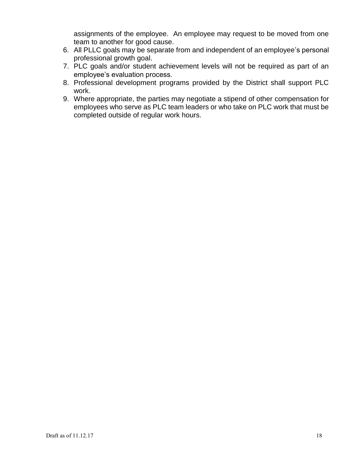assignments of the employee. An employee may request to be moved from one team to another for good cause.

- 6. All PLLC goals may be separate from and independent of an employee's personal professional growth goal.
- 7. PLC goals and/or student achievement levels will not be required as part of an employee's evaluation process.
- 8. Professional development programs provided by the District shall support PLC work.
- 9. Where appropriate, the parties may negotiate a stipend of other compensation for employees who serve as PLC team leaders or who take on PLC work that must be completed outside of regular work hours.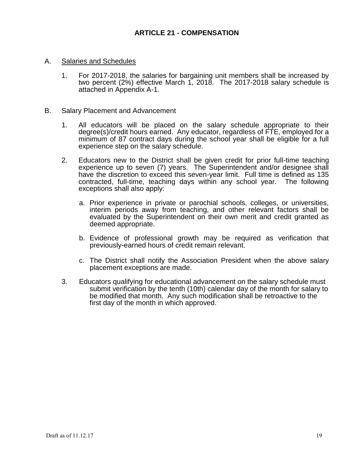- A. Salaries and Schedules
	- 1. For 2017-2018, the salaries for bargaining unit members shall be increased by two percent (2%) effective March 1, 2018. The 2017-2018 salary schedule is attached in Appendix A-1.
- B. Salary Placement and Advancement
	- 1. All educators will be placed on the salary schedule appropriate to their degree(s)/credit hours earned. Any educator, regardless of FTE, employed for a minimum of 87 contract days during the school year shall be eligible for a full experience step on the salary schedule.
	- 2. Educators new to the District shall be given credit for prior full-time teaching experience up to seven (7) years. The Superintendent and/or designee shall have the discretion to exceed this seven-year limit. Full time is defined as 135 contracted, full-time, teaching days within any school year. The following exceptions shall also apply:
		- a. Prior experience in private or parochial schools, colleges, or universities, interim periods away from teaching, and other relevant factors shall be evaluated by the Superintendent on their own merit and credit granted as deemed appropriate.
		- b. Evidence of professional growth may be required as verification that previously-earned hours of credit remain relevant.
		- c. The District shall notify the Association President when the above salary placement exceptions are made.
	- 3. Educators qualifying for educational advancement on the salary schedule must submit verification by the tenth (10th) calendar day of the month for salary to be modified that month. Any such modification shall be retroactive to the first day of the month in which approved.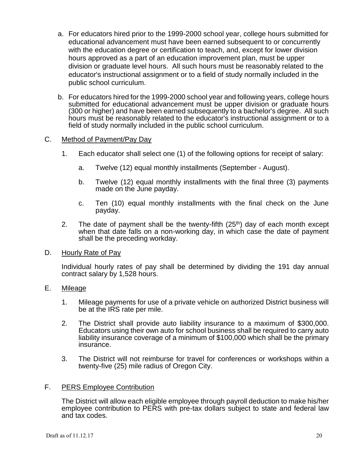- a. For educators hired prior to the 1999-2000 school year, college hours submitted for educational advancement must have been earned subsequent to or concurrently with the education degree or certification to teach, and, except for lower division hours approved as a part of an education improvement plan, must be upper division or graduate level hours. All such hours must be reasonably related to the educator's instructional assignment or to a field of study normally included in the public school curriculum.
- b. For educators hired for the 1999-2000 school year and following years, college hours submitted for educational advancement must be upper division or graduate hours (300 or higher) and have been earned subsequently to a bachelor's degree. All such hours must be reasonably related to the educator's instructional assignment or to a field of study normally included in the public school curriculum.

## C. Method of Payment/Pay Day

- 1. Each educator shall select one (1) of the following options for receipt of salary:
	- a. Twelve (12) equal monthly installments (September August).
	- b. Twelve (12) equal monthly installments with the final three (3) payments made on the June payday.
	- c. Ten (10) equal monthly installments with the final check on the June payday.
- 2. The date of payment shall be the twenty-fifth  $(25<sup>th</sup>)$  day of each month except when that date falls on a non-working day, in which case the date of payment shall be the preceding workday.

## D. Hourly Rate of Pay

Individual hourly rates of pay shall be determined by dividing the 191 day annual contract salary by 1,528 hours.

## E. Mileage

- 1. Mileage payments for use of a private vehicle on authorized District business will be at the IRS rate per mile.
- 2. The District shall provide auto liability insurance to a maximum of \$300,000. Educators using their own auto for school business shall be required to carry auto liability insurance coverage of a minimum of \$100,000 which shall be the primary insurance.
- 3. The District will not reimburse for travel for conferences or workshops within a twenty-five (25) mile radius of Oregon City.

## F. PERS Employee Contribution

The District will allow each eligible employee through payroll deduction to make his/her employee contribution to PERS with pre-tax dollars subject to state and federal law and tax codes.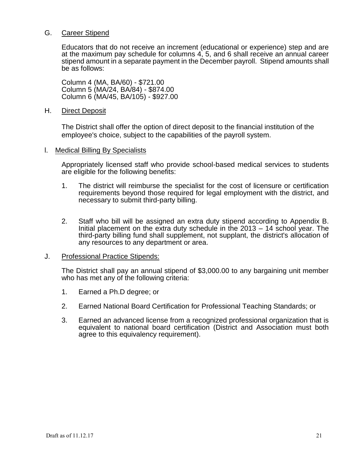## G. Career Stipend

Educators that do not receive an increment (educational or experience) step and are at the maximum pay schedule for columns 4, 5, and 6 shall receive an annual career stipend amount in a separate payment in the December payroll. Stipend amounts shall be as follows:

Column 4 (MA, BA/60) - \$721.00 Column 5 (MA/24, BA/84) - \$874.00 Column 6 (MA/45, BA/105) - \$927.00

## H. Direct Deposit

The District shall offer the option of direct deposit to the financial institution of the employee's choice, subject to the capabilities of the payroll system.

## l. Medical Billing By Specialists

Appropriately licensed staff who provide school-based medical services to students are eligible for the following benefits:

- 1. The district will reimburse the specialist for the cost of licensure or certification requirements beyond those required for legal employment with the district, and necessary to submit third-party billing.
- 2. Staff who bill will be assigned an extra duty stipend according to Appendix B. Initial placement on the extra duty schedule in the 2013 – 14 school year. The third-party billing fund shall supplement, not supplant, the district's allocation of any resources to any department or area.

## J. Professional Practice Stipends:

The District shall pay an annual stipend of \$3,000.00 to any bargaining unit member who has met any of the following criteria:

- 1. Earned a Ph.D degree; or
- 2. Earned National Board Certification for Professional Teaching Standards; or
- 3. Earned an advanced license from a recognized professional organization that is equivalent to national board certification (District and Association must both agree to this equivalency requirement).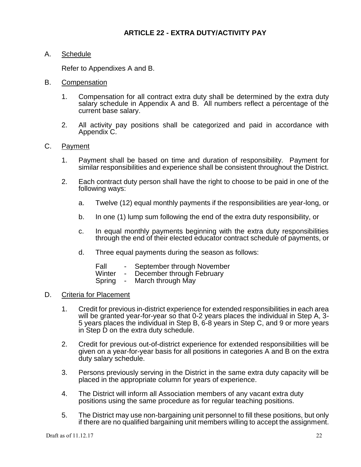# **ARTICLE 22 - EXTRA DUTY/ACTIVITY PAY**

A. Schedule

Refer to Appendixes A and B.

- B. Compensation
	- 1. Compensation for all contract extra duty shall be determined by the extra duty salary schedule in Appendix A and B. All numbers reflect a percentage of the current base salary.
	- 2. All activity pay positions shall be categorized and paid in accordance with Appendix C.

## C. Payment

- 1. Payment shall be based on time and duration of responsibility. Payment for similar responsibilities and experience shall be consistent throughout the District.
- 2. Each contract duty person shall have the right to choose to be paid in one of the following ways:
	- a. Twelve (12) equal monthly payments if the responsibilities are year-long, or
	- b. In one (1) lump sum following the end of the extra duty responsibility, or
	- c. In equal monthly payments beginning with the extra duty responsibilities through the end of their elected educator contract schedule of payments, or
	- d. Three equal payments during the season as follows:

| Fall   | $\sim$         | September through November |
|--------|----------------|----------------------------|
| Winter | $\blacksquare$ | December through February  |
| Spring | $\blacksquare$ | March through May          |

## D. Criteria for Placement

- 1. Credit for previous in-district experience for extended responsibilities in each area will be granted year-for-year so that 0-2 years places the individual in Step A, 3- 5 years places the individual in Step B, 6-8 years in Step C, and 9 or more years in Step D on the extra duty schedule.
- 2. Credit for previous out-of-district experience for extended responsibilities will be given on a year-for-year basis for all positions in categories A and B on the extra duty salary schedule.
- 3. Persons previously serving in the District in the same extra duty capacity will be placed in the appropriate column for years of experience.
- 4. The District will inform all Association members of any vacant extra duty positions using the same procedure as for regular teaching positions.
- 5. The District may use non-bargaining unit personnel to fill these positions, but only if there are no qualified bargaining unit members willing to accept the assignment.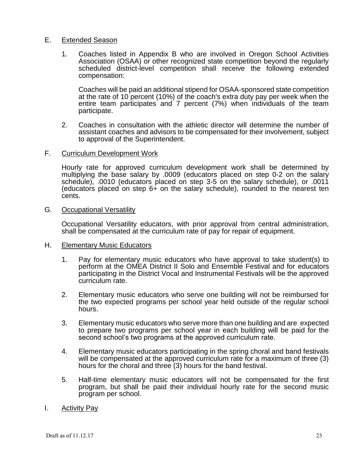#### E. Extended Season

1. Coaches listed in Appendix B who are involved in Oregon School Activities Association (OSAA) or other recognized state competition beyond the regularly scheduled district-level competition shall receive the following extended compensation:

Coaches will be paid an additional stipend for OSAA-sponsored state competition at the rate of 10 percent (10%) of the coach's extra duty pay per week when the entire team participates and 7 percent (7%) when individuals of the team participate.

- 2. Coaches in consultation with the athletic director will determine the number of assistant coaches and advisors to be compensated for their involvement, subject to approval of the Superintendent.
- F. Curriculum Development Work

Hourly rate for approved curriculum development work shall be determined by multiplying the base salary by .0009 (educators placed on step 0-2 on the salary schedule), .0010 (educators placed on step 3-5 on the salary schedule), or .0011 (educators placed on step 6+ on the salary schedule), rounded to the nearest ten cents.

G. Occupational Versatility

Occupational Versatility educators, with prior approval from central administration, shall be compensated at the curriculum rate of pay for repair of equipment.

- H. Elementary Music Educators
	- 1. Pay for elementary music educators who have approval to take student(s) to perform at the OMEA District II Solo and Ensemble Festival and for educators participating in the District Vocal and Instrumental Festivals will be the approved curriculum rate.
	- 2. Elementary music educators who serve one building will not be reimbursed for the two expected programs per school year held outside of the regular school hours.
	- 3. Elementary music educators who serve more than one building and are expected to prepare two programs per school year in each building will be paid for the second school's two programs at the approved curriculum rate.
	- 4. Elementary music educators participating in the spring choral and band festivals will be compensated at the approved curriculum rate for a maximum of three (3) hours for the choral and three (3) hours for the band festival.
	- 5. Half-time elementary music educators will not be compensated for the first program, but shall be paid their individual hourly rate for the second music program per school.
- I. Activity Pay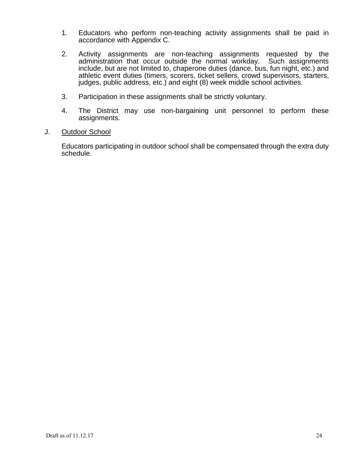- 1. Educators who perform non-teaching activity assignments shall be paid in accordance with Appendix C.
- 2. Activity assignments are non-teaching assignments requested by the administration that occur outside the normal workday. Such assignments include, but are not limited to, chaperone duties (dance, bus, fun night, etc.) and athletic event duties (timers, scorers, ticket sellers, crowd supervisors, starters, judges, public address, etc.) and eight (8) week middle school activities.
- 3. Participation in these assignments shall be strictly voluntary.
- 4. The District may use non-bargaining unit personnel to perform these assignments.

#### J. Outdoor School

Educators participating in outdoor school shall be compensated through the extra duty schedule.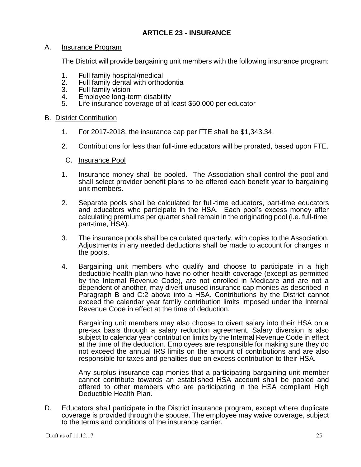# **ARTICLE 23 - INSURANCE**

#### A. Insurance Program

The District will provide bargaining unit members with the following insurance program:

- 1. Full family hospital/medical<br>2. Full family dental with ortho
- 2. Full family dental with orthodontia<br>3. Full family vision
- 3. Full family vision<br>4. Emplovee long-te
- 4. Employee long-term disability<br>5. Life insurance coverage of at l
- Life insurance coverage of at least \$50,000 per educator

#### B. District Contribution

- 1. For 2017-2018, the insurance cap per FTE shall be \$1,343.34.
- 2. Contributions for less than full-time educators will be prorated, based upon FTE.
- C. Insurance Pool
- 1. Insurance money shall be pooled. The Association shall control the pool and shall select provider benefit plans to be offered each benefit year to bargaining unit members.
- 2. Separate pools shall be calculated for full-time educators, part-time educators and educators who participate in the HSA. Each pool's excess money after calculating premiums per quarter shall remain in the originating pool (i.e. full-time, part-time, HSA).
- 3. The insurance pools shall be calculated quarterly, with copies to the Association. Adjustments in any needed deductions shall be made to account for changes in the pools.
- 4. Bargaining unit members who qualify and choose to participate in a high deductible health plan who have no other health coverage (except as permitted by the Internal Revenue Code), are not enrolled in Medicare and are not a dependent of another, may divert unused insurance cap monies as described in Paragraph B and C:2 above into a HSA. Contributions by the District cannot exceed the calendar year family contribution limits imposed under the Internal Revenue Code in effect at the time of deduction.

Bargaining unit members may also choose to divert salary into their HSA on a pre-tax basis through a salary reduction agreement. Salary diversion is also subject to calendar year contribution limits by the Internal Revenue Code in effect at the time of the deduction. Employees are responsible for making sure they do not exceed the annual IRS limits on the amount of contributions and are also responsible for taxes and penalties due on excess contribution to their HSA.

Any surplus insurance cap monies that a participating bargaining unit member cannot contribute towards an established HSA account shall be pooled and offered to other members who are participating in the HSA compliant High Deductible Health Plan.

D. Educators shall participate in the District insurance program, except where duplicate coverage is provided through the spouse. The employee may waive coverage, subject to the terms and conditions of the insurance carrier.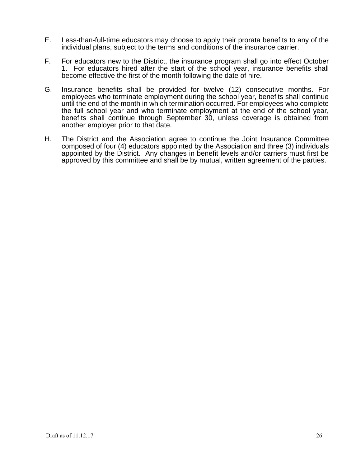- E. Less-than-full-time educators may choose to apply their prorata benefits to any of the individual plans, subject to the terms and conditions of the insurance carrier.
- F. For educators new to the District, the insurance program shall go into effect October 1. For educators hired after the start of the school year, insurance benefits shall become effective the first of the month following the date of hire.
- G. Insurance benefits shall be provided for twelve (12) consecutive months. For employees who terminate employment during the school year, benefits shall continue until the end of the month in which termination occurred. For employees who complete the full school year and who terminate employment at the end of the school year, benefits shall continue through September 30, unless coverage is obtained from another employer prior to that date.
- H. The District and the Association agree to continue the Joint Insurance Committee composed of four (4) educators appointed by the Association and three (3) individuals appointed by the District. Any changes in benefit levels and/or carriers must first be approved by this committee and shall be by mutual, written agreement of the parties.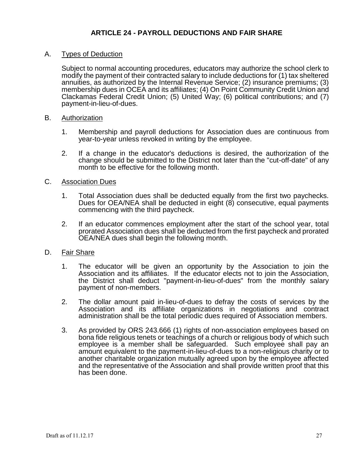## A. Types of Deduction

Subject to normal accounting procedures, educators may authorize the school clerk to modify the payment of their contracted salary to include deductions for (1) tax sheltered annuities, as authorized by the Internal Revenue Service; (2) insurance premiums; (3) membership dues in OCEA and its affiliates; (4) On Point Community Credit Union and Clackamas Federal Credit Union; (5) United Way; (6) political contributions; and (7) payment-in-lieu-of-dues.

## B. Authorization

- 1. Membership and payroll deductions for Association dues are continuous from year-to-year unless revoked in writing by the employee.
- 2. If a change in the educator's deductions is desired, the authorization of the change should be submitted to the District not later than the "cut-off-date" of any month to be effective for the following month.

## C. Association Dues

- 1. Total Association dues shall be deducted equally from the first two paychecks. Dues for OEA/NEA shall be deducted in eight (8) consecutive, equal payments commencing with the third paycheck.
- 2. If an educator commences employment after the start of the school year, total prorated Association dues shall be deducted from the first paycheck and prorated OEA/NEA dues shall begin the following month.

# D. Fair Share

- 1. The educator will be given an opportunity by the Association to join the Association and its affiliates. If the educator elects not to join the Association, the District shall deduct "payment-in-lieu-of-dues" from the monthly salary payment of non-members.
- 2. The dollar amount paid in-lieu-of-dues to defray the costs of services by the Association and its affiliate organizations in negotiations and contract administration shall be the total periodic dues required of Association members.
- 3. As provided by ORS 243.666 (1) rights of non-association employees based on bona fide religious tenets or teachings of a church or religious body of which such employee is a member shall be safeguarded. Such employee shall pay an amount equivalent to the payment-in-lieu-of-dues to a non-religious charity or to another charitable organization mutually agreed upon by the employee affected and the representative of the Association and shall provide written proof that this has been done.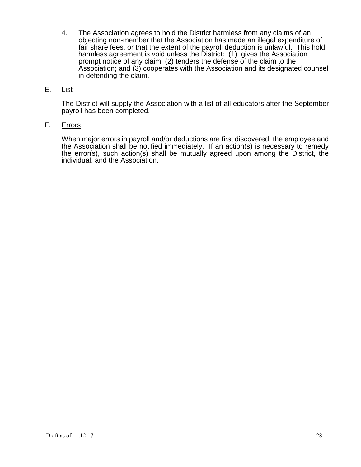- 4. The Association agrees to hold the District harmless from any claims of an objecting non-member that the Association has made an illegal expenditure of fair share fees, or that the extent of the payroll deduction is unlawful. This hold harmless agreement is void unless the District: (1) gives the Association prompt notice of any claim; (2) tenders the defense of the claim to the Association; and (3) cooperates with the Association and its designated counsel in defending the claim.
- E. List

The District will supply the Association with a list of all educators after the September payroll has been completed.

## F. Errors

When major errors in payroll and/or deductions are first discovered, the employee and the Association shall be notified immediately. If an action(s) is necessary to remedy the error(s), such action(s) shall be mutually agreed upon among the District, the individual, and the Association.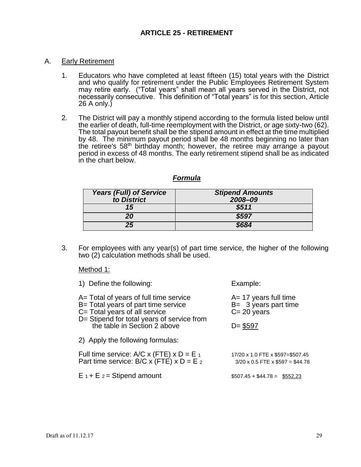#### A. Early Retirement

- 1. Educators who have completed at least fifteen (15) total years with the District and who qualify for retirement under the Public Employees Retirement System may retire early. ("Total years" shall mean all years served in the District, not necessarily consecutive. This definition of "Total years" is for this section, Article 26 A only.)
- 2. The District will pay a monthly stipend according to the formula listed below until the earlier of death, full-time reemployment with the District, or age sixty-two (62). The total payout benefit shall be the stipend amount in effect at the time multiplied by 48. The minimum payout period shall be 48 months beginning no later than the retiree's 58<sup>th</sup> birthday month; however, the retiree may arrange a payout period in excess of 48 months. The early retirement stipend shall be as indicated in the chart below.

#### *Formula*

| <b>Years (Full) of Service</b><br>to District | <b>Stipend Amounts</b><br>2008-09 |
|-----------------------------------------------|-----------------------------------|
| 15                                            | \$511                             |
| 20                                            | \$597                             |
| 25                                            | \$684                             |

3. For employees with any year(s) of part time service, the higher of the following two (2) calculation methods shall be used.

Method 1:

| 1) Define the following:                                                                                                                                               | Example:                                                                           |
|------------------------------------------------------------------------------------------------------------------------------------------------------------------------|------------------------------------------------------------------------------------|
| A= Total of years of full time service<br>B= Total years of part time service<br>$C = \text{Total years of all service}$<br>D= Stipend for total years of service from | $A = 17$ years full time<br>$B = 3$ years part time<br>$C = 20$ years              |
| the table in Section 2 above                                                                                                                                           | $D = $597$                                                                         |
| 2) Apply the following formulas:                                                                                                                                       |                                                                                    |
| Full time service: A/C x (FTE) $\times$ D = E $_1$<br>Part time service: B/C x (FTE) x $D = E_2$                                                                       | 17/20 x 1.0 FTE x \$597=\$507.45<br>$3/20 \times 0.5$ FTE $\times$ \$597 = \$44.78 |
| $E_1 + E_2 =$ Stipend amount                                                                                                                                           | $$507.45 + $44.78 = $552.23$                                                       |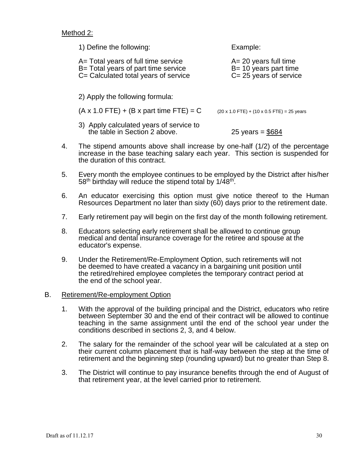Method 2:

| 1) Define the following:                                                                                           | Example:                                                                          |  |  |  |
|--------------------------------------------------------------------------------------------------------------------|-----------------------------------------------------------------------------------|--|--|--|
| A= Total years of full time service<br>B= Total years of part time service<br>C= Calculated total years of service | $A = 20$ years full time<br>$B = 10$ years part time<br>$C = 25$ years of service |  |  |  |
| 2) Apply the following formula:                                                                                    |                                                                                   |  |  |  |
| $(A \times 1.0$ FTE) + (B x part time FTE) = C                                                                     | $(20 \times 1.0$ FTE) + $(10 \times 0.5$ FTE) = 25 years                          |  |  |  |
| 3) Apply calculated years of service to<br>the table in Section 2 above.                                           | 25 years = $$684$                                                                 |  |  |  |

- 4. The stipend amounts above shall increase by one-half (1/2) of the percentage increase in the base teaching salary each year. This section is suspended for the duration of this contract.
- 5. Every month the employee continues to be employed by the District after his/her 58<sup>th</sup> birthday will reduce the stipend total by 1/48<sup>th</sup>.
- 6. An educator exercising this option must give notice thereof to the Human Resources Department no later than sixty (60) days prior to the retirement date.
- 7. Early retirement pay will begin on the first day of the month following retirement.
- 8. Educators selecting early retirement shall be allowed to continue group medical and dental insurance coverage for the retiree and spouse at the educator's expense.
- 9. Under the Retirement/Re-Employment Option, such retirements will not be deemed to have created a vacancy in a bargaining unit position until the retired/rehired employee completes the temporary contract period at the end of the school year.
- B. Retirement/Re-employment Option
	- 1. With the approval of the building principal and the District, educators who retire between September 30 and the end of their contract will be allowed to continue teaching in the same assignment until the end of the school year under the conditions described in sections 2, 3, and 4 below.
	- 2. The salary for the remainder of the school year will be calculated at a step on their current column placement that is half-way between the step at the time of retirement and the beginning step (rounding upward) but no greater than Step 8.
	- 3. The District will continue to pay insurance benefits through the end of August of that retirement year, at the level carried prior to retirement.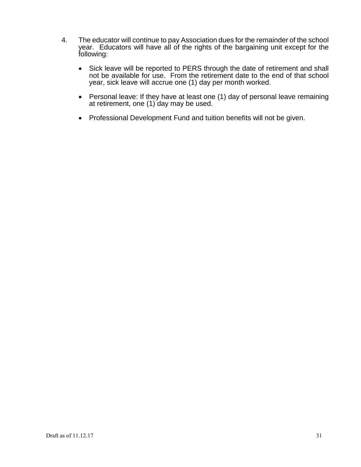- 4. The educator will continue to pay Association dues for the remainder of the school year. Educators will have all of the rights of the bargaining unit except for the following:
	- Sick leave will be reported to PERS through the date of retirement and shall not be available for use. From the retirement date to the end of that school year, sick leave will accrue one (1) day per month worked.
	- Personal leave: If they have at least one (1) day of personal leave remaining at retirement, one (1) day may be used.
	- Professional Development Fund and tuition benefits will not be given.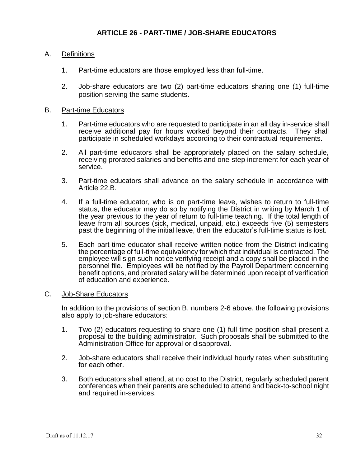# A. Definitions

- 1. Part-time educators are those employed less than full-time.
- 2. Job-share educators are two (2) part-time educators sharing one (1) full-time position serving the same students.

## B. Part-time Educators

- 1. Part-time educators who are requested to participate in an all day in-service shall receive additional pay for hours worked beyond their contracts. They shall participate in scheduled workdays according to their contractual requirements.
- 2. All part-time educators shall be appropriately placed on the salary schedule, receiving prorated salaries and benefits and one-step increment for each year of service.
- 3. Part-time educators shall advance on the salary schedule in accordance with Article 22.B.
- 4. If a full-time educator, who is on part-time leave, wishes to return to full-time status, the educator may do so by notifying the District in writing by March 1 of the year previous to the year of return to full-time teaching. If the total length of leave from all sources (sick, medical, unpaid, etc.) exceeds five (5) semesters past the beginning of the initial leave, then the educator's full-time status is lost.
- 5. Each part-time educator shall receive written notice from the District indicating the percentage of full-time equivalency for which that individual is contracted. The employee will sign such notice verifying receipt and a copy shall be placed in the personnel file. Employees will be notified by the Payroll Department concerning benefit options, and prorated salary will be determined upon receipt of verification of education and experience.

## C. Job-Share Educators

In addition to the provisions of section B, numbers 2-6 above, the following provisions also apply to job-share educators:

- 1. Two (2) educators requesting to share one (1) full-time position shall present a proposal to the building administrator. Such proposals shall be submitted to the Administration Office for approval or disapproval.
- 2. Job-share educators shall receive their individual hourly rates when substituting for each other.
- 3. Both educators shall attend, at no cost to the District, regularly scheduled parent conferences when their parents are scheduled to attend and back-to-school night and required in-services.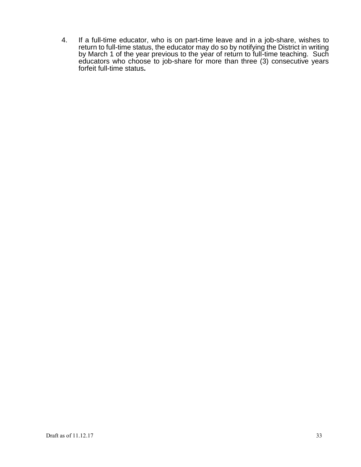4. If a full-time educator, who is on part-time leave and in a job-share, wishes to return to full-time status, the educator may do so by notifying the District in writing by March 1 of the year previous to the year of return to full-time teaching. Such educators who choose to job-share for more than three (3) consecutive years forfeit full-time status**.**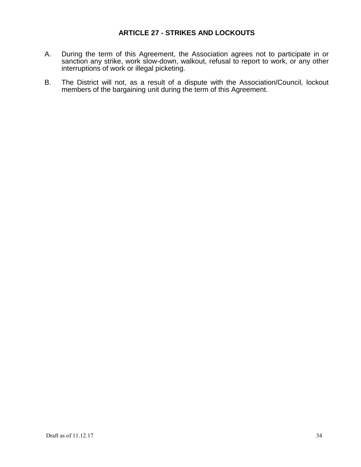## **ARTICLE 27 - STRIKES AND LOCKOUTS**

- A. During the term of this Agreement, the Association agrees not to participate in or sanction any strike, work slow-down, walkout, refusal to report to work, or any other interruptions of work or illegal picketing.
- B. The District will not, as a result of a dispute with the Association/Council, lockout members of the bargaining unit during the term of this Agreement.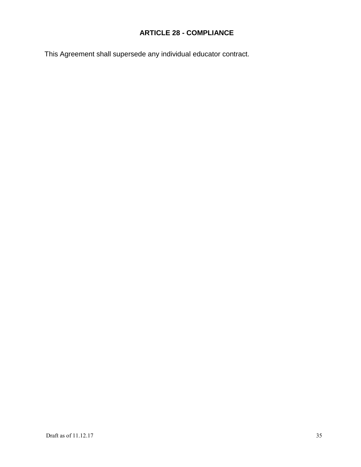# **ARTICLE 28 - COMPLIANCE**

This Agreement shall supersede any individual educator contract.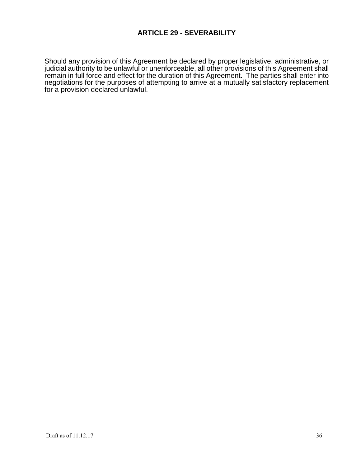# **ARTICLE 29 - SEVERABILITY**

Should any provision of this Agreement be declared by proper legislative, administrative, or judicial authority to be unlawful or unenforceable, all other provisions of this Agreement shall remain in full force and effect for the duration of this Agreement. The parties shall enter into negotiations for the purposes of attempting to arrive at a mutually satisfactory replacement for a provision declared unlawful.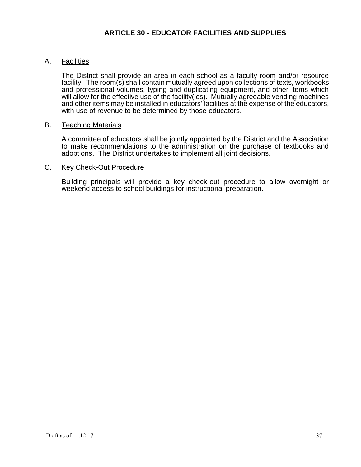# **ARTICLE 30 - EDUCATOR FACILITIES AND SUPPLIES**

## A. Facilities

The District shall provide an area in each school as a faculty room and/or resource facility. The room(s) shall contain mutually agreed upon collections of texts, workbooks and professional volumes, typing and duplicating equipment, and other items which will allow for the effective use of the facility(ies). Mutually agreeable vending machines and other items may be installed in educators' facilities at the expense of the educators, with use of revenue to be determined by those educators.

## B. Teaching Materials

A committee of educators shall be jointly appointed by the District and the Association to make recommendations to the administration on the purchase of textbooks and adoptions. The District undertakes to implement all joint decisions.

#### C. Key Check-Out Procedure

Building principals will provide a key check-out procedure to allow overnight or weekend access to school buildings for instructional preparation.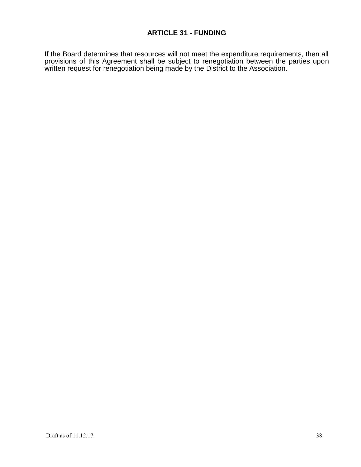If the Board determines that resources will not meet the expenditure requirements, then all provisions of this Agreement shall be subject to renegotiation between the parties upon written request for renegotiation being made by the District to the Association.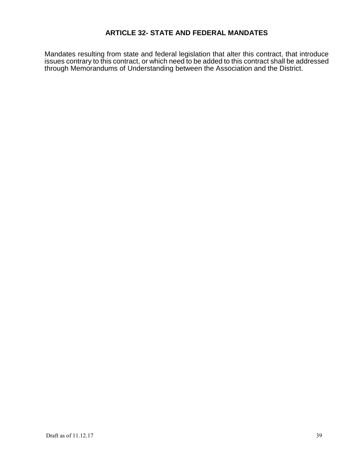# **ARTICLE 32- STATE AND FEDERAL MANDATES**

Mandates resulting from state and federal legislation that alter this contract, that introduce issues contrary to this contract, or which need to be added to this contract shall be addressed through Memorandums of Understanding between the Association and the District.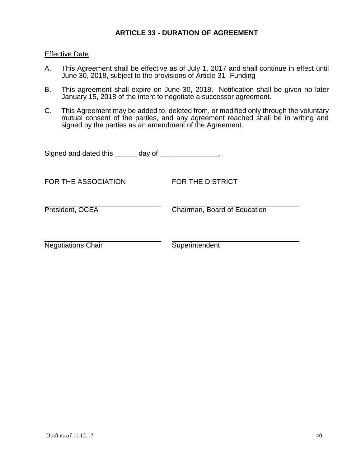#### **ARTICLE 33 - DURATION OF AGREEMENT**

#### **Effective Date**

- A. This Agreement shall be effective as of July 1, 2017 and shall continue in effect until June 30, 2018, subject to the provisions of Article 31- Funding
- B. This agreement shall expire on June 30, 2018. Notification shall be given no later January 15, 2018 of the intent to negotiate a successor agreement.
- C. This Agreement may be added to, deleted from, or modified only through the voluntary mutual consent of the parties, and any agreement reached shall be in writing and signed by the parties as an amendment of the Agreement.

| Signed and dated this $\qquad$ $\qquad$ day of $\qquad$ |                              |
|---------------------------------------------------------|------------------------------|
| FOR THE ASSOCIATION                                     | FOR THE DISTRICT             |
| President, OCEA                                         | Chairman, Board of Education |
| <b>Negotiations Chair</b>                               | Superintendent               |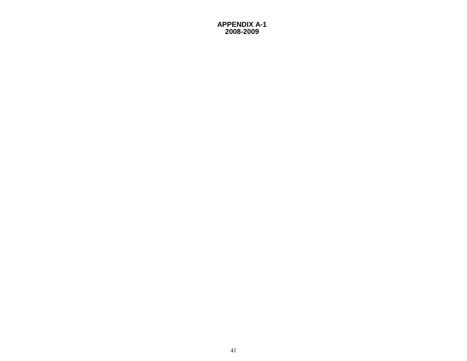#### **APPENDIX A-1 2008-2009**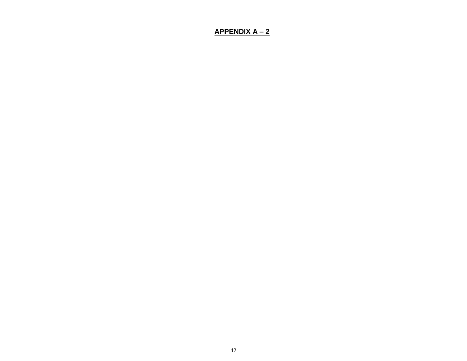## **APPENDIX A – 2**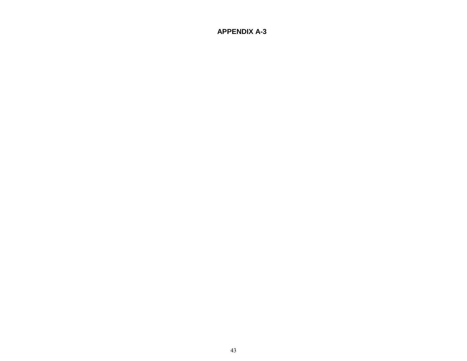## **APPENDIX A-3**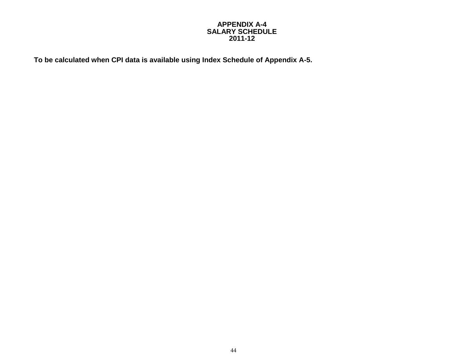#### **APPENDIX A-4 SALARY SCHEDULE 2011-12**

**To be calculated when CPI data is available using Index Schedule of Appendix A-5.**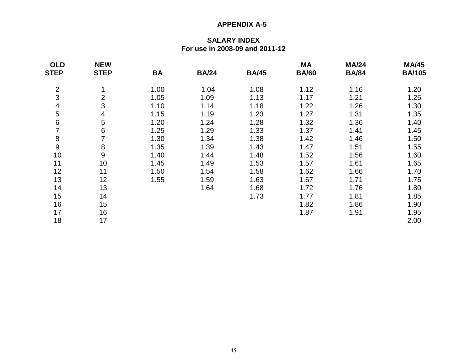#### **APPENDIX A-5**

## **SALARY INDEX For use in 2008-09 and 2011-12**

| <b>OLD</b>               | <b>NEW</b>  |      |              |              | <b>MA</b>    | <b>MA/24</b> | <b>MA/45</b>  |
|--------------------------|-------------|------|--------------|--------------|--------------|--------------|---------------|
| <b>STEP</b>              | <b>STEP</b> | BA   | <b>BA/24</b> | <b>BA/45</b> | <b>BA/60</b> | <b>BA/84</b> | <b>BA/105</b> |
| $\overline{2}$           | 4           | 1.00 | 1.04         | 1.08         | 1.12         | 1.16         | 1.20          |
| 3                        | 2           | 1.05 | 1.09         | 1.13         | 1.17         | 1.21         | 1.25          |
| $\overline{\mathcal{A}}$ | 3           | 1.10 | 1.14         | 1.18         | 1.22         | 1.26         | 1.30          |
| 5                        | 4           | 1.15 | 1.19         | 1.23         | 1.27         | 1.31         | 1.35          |
| $\,6\,$                  | 5           | 1.20 | 1.24         | 1.28         | 1.32         | 1.36         | 1.40          |
| 7                        | 6           | 1.25 | 1.29         | 1.33         | 1.37         | 1.41         | 1.45          |
| 8                        | 7           | 1.30 | 1.34         | 1.38         | 1.42         | 1.46         | 1.50          |
| $\boldsymbol{9}$         | 8           | 1.35 | 1.39         | 1.43         | 1.47         | 1.51         | 1.55          |
| 10                       | $9\,$       | 1.40 | 1.44         | 1.48         | 1.52         | 1.56         | 1.60          |
| 11                       | 10          | 1.45 | 1.49         | 1.53         | 1.57         | 1.61         | 1.65          |
| 12                       | 11          | 1.50 | 1.54         | 1.58         | 1.62         | 1.66         | 1.70          |
| 13                       | 12          | 1.55 | 1.59         | 1.63         | 1.67         | 1.71         | 1.75          |
| 14                       | 13          |      | 1.64         | 1.68         | 1.72         | 1.76         | 1.80          |
| 15                       | 14          |      |              | 1.73         | 1.77         | 1.81         | 1.85          |
| 16                       | 15          |      |              |              | 1.82         | 1.86         | 1.90          |
| 17                       | 16          |      |              |              | 1.87         | 1.91         | 1.95          |
| 18                       | 17          |      |              |              |              |              | 2.00          |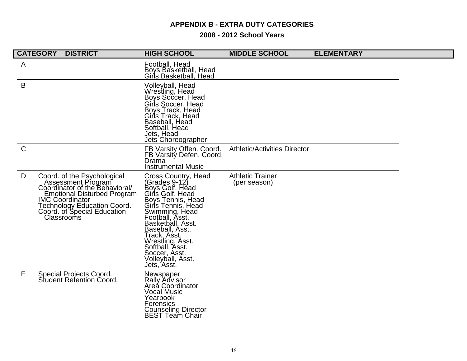## **APPENDIX B - EXTRA DUTY CATEGORIES**

### **2008 - 2012 School Years**

|              | <b>CATEGORY</b><br><b>DISTRICT</b>                                                                                                                                                                                              | <b>HIGH SCHOOL</b>                                                                                                                                                                                                                                                                                              | <b>MIDDLE SCHOOL</b>                    | <b>ELEMENTARY</b> |  |
|--------------|---------------------------------------------------------------------------------------------------------------------------------------------------------------------------------------------------------------------------------|-----------------------------------------------------------------------------------------------------------------------------------------------------------------------------------------------------------------------------------------------------------------------------------------------------------------|-----------------------------------------|-------------------|--|
| A            |                                                                                                                                                                                                                                 | Football, Head<br>Boys Basketball, Head<br>Girls Basketball, Head                                                                                                                                                                                                                                               |                                         |                   |  |
| B            |                                                                                                                                                                                                                                 | Volleyball, Head<br>Wrestling, Head<br>Boys Soccer, Head<br>Girls Soccer, Head<br>Boys Track, Head<br>Girls Track, Head<br>Baseball, Head<br>Softball, Head<br>Jets, Héad<br>Jets Choreographer                                                                                                                 |                                         |                   |  |
| $\mathsf{C}$ |                                                                                                                                                                                                                                 | FB Varsity Offen. Coord.<br>FB Varsity Defen. Coord.<br>Drama<br><b>Instrumental Music</b>                                                                                                                                                                                                                      | <b>Athletic/Activities Director</b>     |                   |  |
| D            | Coord. of the Psychological<br>Assessment Program<br>Coordinator of the Behavioral/<br><b>Emotional Disturbed Program</b><br><b>IMC Coordinator</b><br>Technology Education Coord.<br>Coord. of Special Education<br>Classrooms | Cross Country, Head<br>(Grades 9-12)<br>Boys Golf, Head<br>Girls Golf, Head<br>Boys Tennis, Head<br>Girls Tennis, Head<br>Swimming, Head<br>Football, Asst.<br>Basketball, Asst.<br>Baseball, Asst.<br>Track, Asst.<br>Wrestling, Asst.<br>Softball, Asst.<br>Soccer, Asst.<br>Volleyball, Asst.<br>Jets, Asst. | <b>Athletic Trainer</b><br>(per season) |                   |  |
| E            | Special Projects Coord.<br><b>Student Refention Coord.</b>                                                                                                                                                                      | Newspaper<br>Rally Advisor<br>Areá Coordinator<br>Vocal Music<br>Yearbook<br><b>Forensics</b><br><b>Counseling Director</b><br><b>BEST Team Chair</b>                                                                                                                                                           |                                         |                   |  |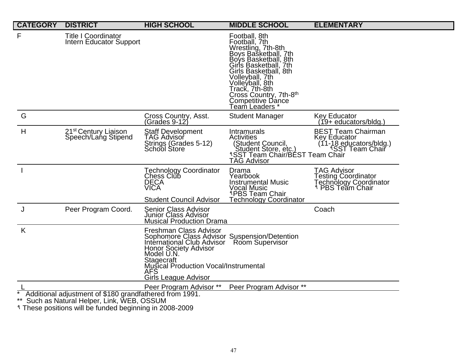| <b>CATEGORY</b> | <b>DISTRICT</b>                                                                                     | <b>HIGH SCHOOL</b>                                                                                                                                                                                                                       | <b>MIDDLE SCHOOL</b>                                                                                                                                                                                                                                                            | <b>ELEMENTARY</b>                                                                                  |
|-----------------|-----------------------------------------------------------------------------------------------------|------------------------------------------------------------------------------------------------------------------------------------------------------------------------------------------------------------------------------------------|---------------------------------------------------------------------------------------------------------------------------------------------------------------------------------------------------------------------------------------------------------------------------------|----------------------------------------------------------------------------------------------------|
| F               | <b>Title I Coordinator</b><br>Intern Educator Support                                               |                                                                                                                                                                                                                                          | Football, 8th<br>Football, 7th<br>Wrestling, 7th-8th<br>Boys Basketball, 7th<br>Boys Basketball, 8th<br>Girls Basketball, 7th<br>Girls Basketball, 8th<br>Volleyball, 7th<br>Volleyball, 8th<br>Track, 7th-8th<br>Cross Country, 7th-8th<br>Competitive Dance<br>Team Leaders * |                                                                                                    |
| G               |                                                                                                     | Cross Country, Asst.<br>(Grades 9-12)                                                                                                                                                                                                    | <b>Student Manager</b>                                                                                                                                                                                                                                                          | <b>Key Educator</b><br>(19+ educators/bldg.)                                                       |
| H               | 21 <sup>st</sup> Century Liaison<br>Speech/Lang Stipend                                             | Staff Development<br>TAG Advisor<br>Strings (Grades 5-12)<br><b>School Store</b>                                                                                                                                                         | Intramurals<br><b>Activities</b><br>(11-18 ed.)<br>Student Store, etc.)<br>SST Team Chair/BEST Team Chair<br>SST Team Chair/BEST Team Chair<br><b>TAG Advisor</b>                                                                                                               | <b>BEST Team Chairman</b><br>Key Educator<br>(11-18 educators/bldg.)<br>SST Team Chair!            |
|                 |                                                                                                     | <b>Technology Coordinator</b><br>Chess Club<br><b>DECA</b><br><b>VICA</b><br><b>Student Council Advisor</b>                                                                                                                              | Drama<br>Yearbook<br><b>Instrumental Music</b><br>Vocal Music<br><sup>1</sup> PBS Team Chair<br><b>Technology Coordinator</b>                                                                                                                                                   | <b>TAG Advisor</b><br>Testing Coordinator<br>Technology Coordinator<br><sup>9</sup> PBS Team Chair |
| J               | Peer Program Coord.                                                                                 | <b>Senior Class Advisor</b><br><b>Junior Class Advisor</b><br><b>Musical Production Drama</b>                                                                                                                                            |                                                                                                                                                                                                                                                                                 | Coach                                                                                              |
| K               |                                                                                                     | Freshman Class Advisor<br>Sophomore Class Advisor Suspension/Detention<br>International Club Advisor<br>Honor Society Advisor<br>Model U.N.<br>Stagecraft<br>Musical Production Vocal/Instrumental<br>AFS<br><b>Girls League Advisor</b> | <b>Room Supervisor</b>                                                                                                                                                                                                                                                          |                                                                                                    |
|                 |                                                                                                     | Peer Program Advisor **                                                                                                                                                                                                                  | Peer Program Advisor **                                                                                                                                                                                                                                                         |                                                                                                    |
|                 | Additional adjustment of \$180 grandfathered from 1991.<br>Such as Natural Helper, Link, WEB, OSSUM |                                                                                                                                                                                                                                          |                                                                                                                                                                                                                                                                                 |                                                                                                    |

٩ These positions will be funded beginning in 2008-2009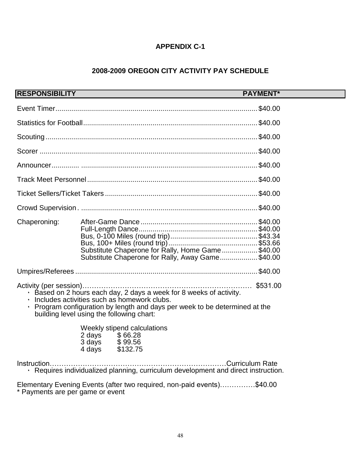## **APPENDIX C-1**

# **2008-2009 OREGON CITY ACTIVITY PAY SCHEDULE**

|                                                                                                                                                                                                                                                    | RESPONSIBILITY <b>AND A RESPONSIBILITY</b>                                         | <b>PAYMENT*</b>                                                                                      |  |  |
|----------------------------------------------------------------------------------------------------------------------------------------------------------------------------------------------------------------------------------------------------|------------------------------------------------------------------------------------|------------------------------------------------------------------------------------------------------|--|--|
|                                                                                                                                                                                                                                                    |                                                                                    |                                                                                                      |  |  |
|                                                                                                                                                                                                                                                    |                                                                                    |                                                                                                      |  |  |
|                                                                                                                                                                                                                                                    |                                                                                    |                                                                                                      |  |  |
|                                                                                                                                                                                                                                                    |                                                                                    |                                                                                                      |  |  |
|                                                                                                                                                                                                                                                    |                                                                                    |                                                                                                      |  |  |
|                                                                                                                                                                                                                                                    |                                                                                    |                                                                                                      |  |  |
|                                                                                                                                                                                                                                                    |                                                                                    |                                                                                                      |  |  |
|                                                                                                                                                                                                                                                    |                                                                                    |                                                                                                      |  |  |
| Chaperoning:                                                                                                                                                                                                                                       |                                                                                    | Substitute Chaperone for Rally, Home Game\$40.00<br>Substitute Chaperone for Rally, Away Game\$40.00 |  |  |
|                                                                                                                                                                                                                                                    |                                                                                    |                                                                                                      |  |  |
| $\cdot$ Based on 2 hours each day, 2 days a week for 8 weeks of activity.<br>Includes activities such as homework clubs.<br>Program configuration by length and days per week to be determined at the<br>building level using the following chart: |                                                                                    |                                                                                                      |  |  |
|                                                                                                                                                                                                                                                    | Weekly stipend calculations<br>2 days \$66.28<br>3 days \$99.56<br>4 days \$132.75 |                                                                                                      |  |  |
| · Requires individualized planning, curriculum development and direct instruction.                                                                                                                                                                 |                                                                                    |                                                                                                      |  |  |
| Elementary Evening Events (after two required, non-paid events)\$40.00                                                                                                                                                                             |                                                                                    |                                                                                                      |  |  |

\* Payments are per game or event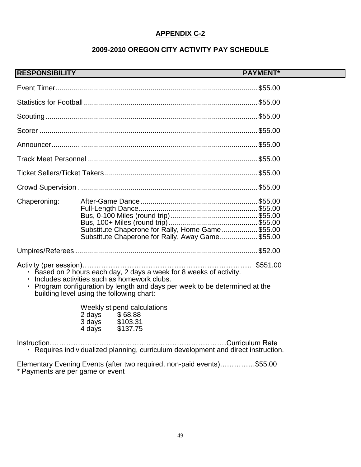## **APPENDIX C-2**

# **2009-2010 OREGON CITY ACTIVITY PAY SCHEDULE**

| <b>RESPONSIBILITY</b>                                                                                                                                                                                                                                |                                                                                                       | <b>PAYMENT*</b> |  |  |
|------------------------------------------------------------------------------------------------------------------------------------------------------------------------------------------------------------------------------------------------------|-------------------------------------------------------------------------------------------------------|-----------------|--|--|
|                                                                                                                                                                                                                                                      |                                                                                                       |                 |  |  |
|                                                                                                                                                                                                                                                      |                                                                                                       |                 |  |  |
|                                                                                                                                                                                                                                                      |                                                                                                       |                 |  |  |
|                                                                                                                                                                                                                                                      |                                                                                                       |                 |  |  |
|                                                                                                                                                                                                                                                      |                                                                                                       |                 |  |  |
|                                                                                                                                                                                                                                                      |                                                                                                       |                 |  |  |
|                                                                                                                                                                                                                                                      |                                                                                                       |                 |  |  |
|                                                                                                                                                                                                                                                      |                                                                                                       |                 |  |  |
| Chaperoning:                                                                                                                                                                                                                                         | Substitute Chaperone for Rally, Home Game\$55.00<br>Substitute Chaperone for Rally, Away Game \$55.00 |                 |  |  |
|                                                                                                                                                                                                                                                      |                                                                                                       |                 |  |  |
| $\cdot$ Based on 2 hours each day, 2 days a week for 8 weeks of activity.<br>Includes activities such as homework clubs.<br>• Program configuration by length and days per week to be determined at the<br>building level using the following chart: |                                                                                                       |                 |  |  |
|                                                                                                                                                                                                                                                      | Weekly stipend calculations<br>2 days \$68.88<br>3 days \$103.31<br>4 days \$137.75                   |                 |  |  |
| · Requires individualized planning, curriculum development and direct instruction.                                                                                                                                                                   |                                                                                                       |                 |  |  |

Elementary Evening Events (after two required, non-paid events)……………\$55.00 \* Payments are per game or event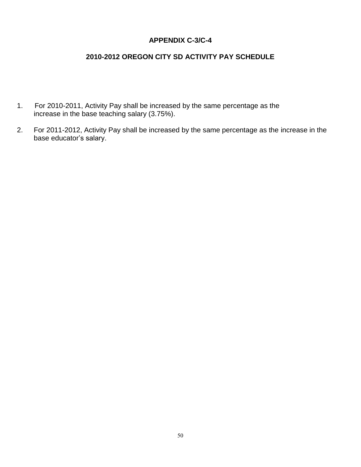## **APPENDIX C-3/C-4**

# **2010-2012 OREGON CITY SD ACTIVITY PAY SCHEDULE**

- 1. For 2010-2011, Activity Pay shall be increased by the same percentage as the increase in the base teaching salary (3.75%).
- 2. For 2011-2012, Activity Pay shall be increased by the same percentage as the increase in the base educator's salary.